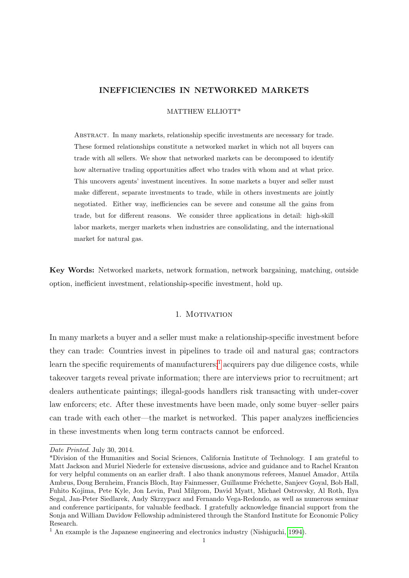## <span id="page-0-2"></span>INEFFICIENCIES IN NETWORKED MARKETS

#### MATTHEW ELLIOTT\*

Abstract. In many markets, relationship specific investments are necessary for trade. These formed relationships constitute a networked market in which not all buyers can trade with all sellers. We show that networked markets can be decomposed to identify how alternative trading opportunities affect who trades with whom and at what price. This uncovers agents' investment incentives. In some markets a buyer and seller must make different, separate investments to trade, while in others investments are jointly negotiated. Either way, inefficiencies can be severe and consume all the gains from trade, but for different reasons. We consider three applications in detail: high-skill labor markets, merger markets when industries are consolidating, and the international market for natural gas.

<span id="page-0-1"></span>Key Words: Networked markets, network formation, network bargaining, matching, outside option, inefficient investment, relationship-specific investment, hold up.

# 1. MOTIVATION

In many markets a buyer and a seller must make a relationship-specific investment before they can trade: Countries invest in pipelines to trade oil and natural gas; contractors learn the specific requirements of manufacturers;<sup>[1](#page-0-0)</sup> acquirers pay due diligence costs, while takeover targets reveal private information; there are interviews prior to recruitment; art dealers authenticate paintings; illegal-goods handlers risk transacting with under-cover law enforcers; etc. After these investments have been made, only some buyer–seller pairs can trade with each other—the market is networked. This paper analyzes inefficiencies in these investments when long term contracts cannot be enforced.

Date Printed. July 30, 2014.

<sup>\*</sup>Division of the Humanities and Social Sciences, California Institute of Technology. I am grateful to Matt Jackson and Muriel Niederle for extensive discussions, advice and guidance and to Rachel Kranton for very helpful comments on an earlier draft. I also thank anonymous referees, Manuel Amador, Attila Ambrus, Doug Bernheim, Francis Bloch, Itay Fainmesser, Guillaume Fréchette, Sanjeev Goyal, Bob Hall, Fuhito Kojima, Pete Kyle, Jon Levin, Paul Milgrom, David Myatt, Michael Ostrovsky, Al Roth, Ilya Segal, Jan-Peter Siedlarek, Andy Skrzypacz and Fernando Vega-Redondo, as well as numerous seminar and conference participants, for valuable feedback. I gratefully acknowledge financial support from the Sonja and William Davidow Fellowship administered through the Stanford Institute for Economic Policy Research.

<span id="page-0-0"></span><sup>1</sup> An example is the Japanese engineering and electronics industry (Nishiguchi, [1994\)](#page-43-0).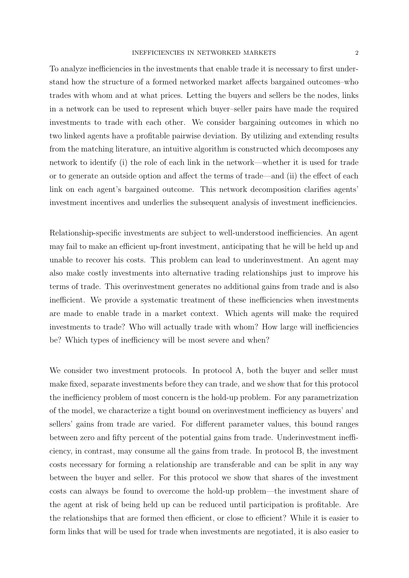To analyze inefficiencies in the investments that enable trade it is necessary to first understand how the structure of a formed networked market affects bargained outcomes–who trades with whom and at what prices. Letting the buyers and sellers be the nodes, links in a network can be used to represent which buyer–seller pairs have made the required investments to trade with each other. We consider bargaining outcomes in which no two linked agents have a profitable pairwise deviation. By utilizing and extending results from the matching literature, an intuitive algorithm is constructed which decomposes any network to identify (i) the role of each link in the network—whether it is used for trade or to generate an outside option and affect the terms of trade—and (ii) the effect of each link on each agent's bargained outcome. This network decomposition clarifies agents' investment incentives and underlies the subsequent analysis of investment inefficiencies.

Relationship-specific investments are subject to well-understood inefficiencies. An agent may fail to make an efficient up-front investment, anticipating that he will be held up and unable to recover his costs. This problem can lead to underinvestment. An agent may also make costly investments into alternative trading relationships just to improve his terms of trade. This overinvestment generates no additional gains from trade and is also inefficient. We provide a systematic treatment of these inefficiencies when investments are made to enable trade in a market context. Which agents will make the required investments to trade? Who will actually trade with whom? How large will inefficiencies be? Which types of inefficiency will be most severe and when?

We consider two investment protocols. In protocol A, both the buyer and seller must make fixed, separate investments before they can trade, and we show that for this protocol the inefficiency problem of most concern is the hold-up problem. For any parametrization of the model, we characterize a tight bound on overinvestment inefficiency as buyers' and sellers' gains from trade are varied. For different parameter values, this bound ranges between zero and fifty percent of the potential gains from trade. Underinvestment inefficiency, in contrast, may consume all the gains from trade. In protocol B, the investment costs necessary for forming a relationship are transferable and can be split in any way between the buyer and seller. For this protocol we show that shares of the investment costs can always be found to overcome the hold-up problem—the investment share of the agent at risk of being held up can be reduced until participation is profitable. Are the relationships that are formed then efficient, or close to efficient? While it is easier to form links that will be used for trade when investments are negotiated, it is also easier to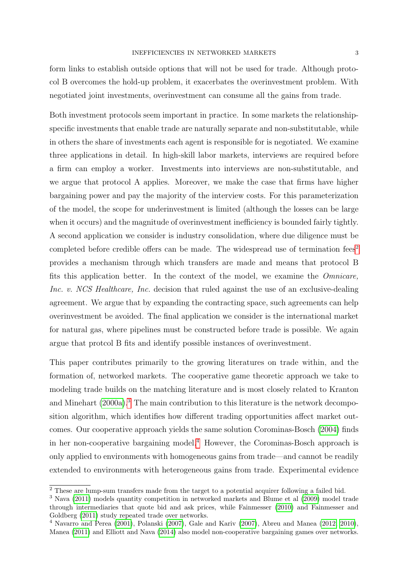form links to establish outside options that will not be used for trade. Although protocol B overcomes the hold-up problem, it exacerbates the overinvestment problem. With negotiated joint investments, overinvestment can consume all the gains from trade.

Both investment protocols seem important in practice. In some markets the relationshipspecific investments that enable trade are naturally separate and non-substitutable, while in others the share of investments each agent is responsible for is negotiated. We examine three applications in detail. In high-skill labor markets, interviews are required before a firm can employ a worker. Investments into interviews are non-substitutable, and we argue that protocol A applies. Moreover, we make the case that firms have higher bargaining power and pay the majority of the interview costs. For this parameterization of the model, the scope for underinvestment is limited (although the losses can be large when it occurs) and the magnitude of overinvestment inefficiency is bounded fairly tightly. A second application we consider is industry consolidation, where due diligence must be completed before credible offers can be made. The widespread use of termination fees<sup>[2](#page-2-0)</sup> provides a mechanism through which transfers are made and means that protocol B fits this application better. In the context of the model, we examine the Omnicare, Inc. v. NCS Healthcare, Inc. decision that ruled against the use of an exclusive-dealing agreement. We argue that by expanding the contracting space, such agreements can help overinvestment be avoided. The final application we consider is the international market for natural gas, where pipelines must be constructed before trade is possible. We again argue that protcol B fits and identify possible instances of overinvestment.

This paper contributes primarily to the growing literatures on trade within, and the formation of, networked markets. The cooperative game theoretic approach we take to modeling trade builds on the matching literature and is most closely related to Kranton and Minehart  $(2000a)$ .<sup>[3](#page-2-1)</sup> The main contribution to this literature is the network decomposition algorithm, which identifies how different trading opportunities affect market outcomes. Our cooperative approach yields the same solution Corominas-Bosch [\(2004\)](#page-41-0) finds in her non-cooperative bargaining model.<sup>[4](#page-2-2)</sup> However, the Corominas-Bosch approach is only applied to environments with homogeneous gains from trade—and cannot be readily extended to environments with heterogeneous gains from trade. Experimental evidence

<span id="page-2-0"></span><sup>&</sup>lt;sup>2</sup> These are lump-sum transfers made from the target to a potential acquirer following a failed bid.

<span id="page-2-1"></span><sup>3</sup> Nava [\(2011\)](#page-43-2) models quantity competition in networked markets and Blume et al [\(2009\)](#page-41-1) model trade through intermediaries that quote bid and ask prices, while Fainmesser [\(2010\)](#page-42-0) and Fainmesser and Goldberg [\(2011\)](#page-42-1) study repeated trade over networks.

<span id="page-2-2"></span><sup>4</sup> Navarro and Perea [\(2001\)](#page-43-3), Polanski [\(2007\)](#page-43-4), Gale and Kariv [\(2007\)](#page-42-2), Abreu and Manea [\(2012,](#page-41-2) [2010\)](#page-41-3), Manea [\(2011\)](#page-43-5) and Elliott and Nava [\(2014\)](#page-42-3) also model non-cooperative bargaining games over networks.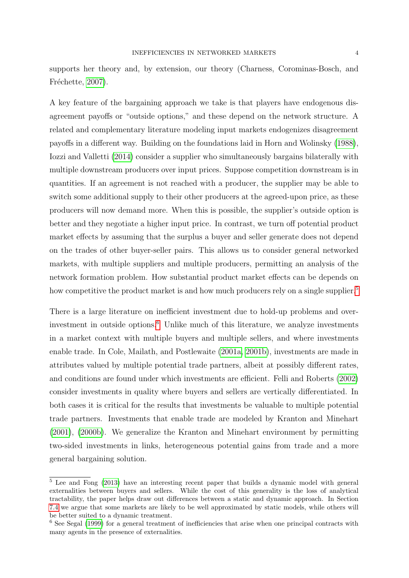supports her theory and, by extension, our theory (Charness, Corominas-Bosch, and Fréchette, [2007\)](#page-41-4).

A key feature of the bargaining approach we take is that players have endogenous disagreement payoffs or "outside options," and these depend on the network structure. A related and complementary literature modeling input markets endogenizes disagreement payoffs in a different way. Building on the foundations laid in Horn and Wolinsky [\(1988\)](#page-42-4), Iozzi and Valletti [\(2014\)](#page-42-5) consider a supplier who simultaneously bargains bilaterally with multiple downstream producers over input prices. Suppose competition downstream is in quantities. If an agreement is not reached with a producer, the supplier may be able to switch some additional supply to their other producers at the agreed-upon price, as these producers will now demand more. When this is possible, the supplier's outside option is better and they negotiate a higher input price. In contrast, we turn off potential product market effects by assuming that the surplus a buyer and seller generate does not depend on the trades of other buyer-seller pairs. This allows us to consider general networked markets, with multiple suppliers and multiple producers, permitting an analysis of the network formation problem. How substantial product market effects can be depends on how competitive the product market is and how much producers rely on a single supplier.<sup>[5](#page-3-0)</sup>

There is a large literature on inefficient investment due to hold-up problems and over-investment in outside options.<sup>[6](#page-3-1)</sup> Unlike much of this literature, we analyze investments in a market context with multiple buyers and multiple sellers, and where investments enable trade. In Cole, Mailath, and Postlewaite [\(2001a,](#page-41-5) [2001b\)](#page-41-6), investments are made in attributes valued by multiple potential trade partners, albeit at possibly different rates, and conditions are found under which investments are efficient. Felli and Roberts [\(2002\)](#page-42-6) consider investments in quality where buyers and sellers are vertically differentiated. In both cases it is critical for the results that investments be valuable to multiple potential trade partners. Investments that enable trade are modeled by Kranton and Minehart [\(2001\)](#page-43-6), [\(2000b\)](#page-43-7). We generalize the Kranton and Minehart environment by permitting two-sided investments in links, heterogeneous potential gains from trade and a more general bargaining solution.

<span id="page-3-0"></span><sup>5</sup> Lee and Fong [\(2013\)](#page-43-8) have an interesting recent paper that builds a dynamic model with general externalities between buyers and sellers. While the cost of this generality is the loss of analytical tractability, the paper helps draw out differences between a static and dynamic approach. In Section [7.4](#page-28-0) we argue that some markets are likely to be well approximated by static models, while others will be better suited to a dynamic treatment.

<span id="page-3-1"></span><sup>6</sup> See Segal [\(1999\)](#page-44-0) for a general treatment of inefficiencies that arise when one principal contracts with many agents in the presence of externalities.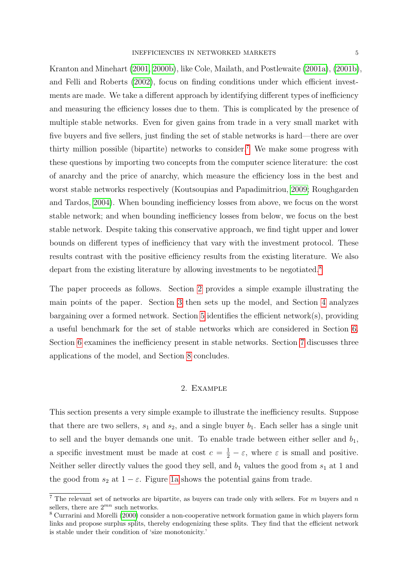Kranton and Minehart [\(2001,](#page-43-6) [2000b\)](#page-43-7), like Cole, Mailath, and Postlewaite [\(2001a\)](#page-41-5), [\(2001b\)](#page-41-6), and Felli and Roberts [\(2002\)](#page-42-6), focus on finding conditions under which efficient investments are made. We take a different approach by identifying different types of inefficiency and measuring the efficiency losses due to them. This is complicated by the presence of multiple stable networks. Even for given gains from trade in a very small market with five buyers and five sellers, just finding the set of stable networks is hard—there are over thirty million possible (bipartite) networks to consider.<sup>[7](#page-4-0)</sup> We make some progress with these questions by importing two concepts from the computer science literature: the cost of anarchy and the price of anarchy, which measure the efficiency loss in the best and worst stable networks respectively (Koutsoupias and Papadimitriou, [2009;](#page-42-7) Roughgarden and Tardos, [2004\)](#page-44-1). When bounding inefficiency losses from above, we focus on the worst stable network; and when bounding inefficiency losses from below, we focus on the best stable network. Despite taking this conservative approach, we find tight upper and lower bounds on different types of inefficiency that vary with the investment protocol. These results contrast with the positive efficiency results from the existing literature. We also depart from the existing literature by allowing investments to be negotiated.<sup>[8](#page-4-1)</sup>

The paper proceeds as follows. Section [2](#page-4-2) provides a simple example illustrating the main points of the paper. Section [3](#page-6-0) then sets up the model, and Section [4](#page-7-0) analyzes bargaining over a formed network. Section [5](#page-15-0) identifies the efficient network(s), providing a useful benchmark for the set of stable networks which are considered in Section [6.](#page-17-0) Section [6](#page-17-0) examines the inefficiency present in stable networks. Section [7](#page-23-0) discusses three applications of the model, and Section [8](#page-29-0) concludes.

# 2. Example

<span id="page-4-2"></span>This section presents a very simple example to illustrate the inefficiency results. Suppose that there are two sellers,  $s_1$  and  $s_2$ , and a single buyer  $b_1$ . Each seller has a single unit to sell and the buyer demands one unit. To enable trade between either seller and  $b_1$ , a specific investment must be made at cost  $c = \frac{1}{2} - \varepsilon$ , where  $\varepsilon$  is small and positive. Neither seller directly values the good they sell, and  $b_1$  values the good from  $s_1$  at 1 and the good from  $s_2$  at  $1 - \varepsilon$ . Figure [1a](#page-5-0) shows the potential gains from trade.

<span id="page-4-0"></span><sup>&</sup>lt;sup>7</sup> The relevant set of networks are bipartite, as buyers can trade only with sellers. For  $m$  buyers and  $n$ sellers, there are  $2^{mn}$  such networks.

<span id="page-4-1"></span><sup>8</sup> Currarini and Morelli [\(2000\)](#page-41-7) consider a non-cooperative network formation game in which players form links and propose surplus splits, thereby endogenizing these splits. They find that the efficient network is stable under their condition of 'size monotonicity.'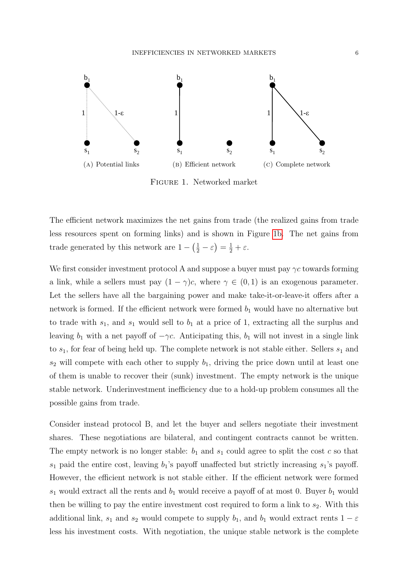<span id="page-5-0"></span>

<span id="page-5-1"></span>Figure 1. Networked market

The efficient network maximizes the net gains from trade (the realized gains from trade less resources spent on forming links) and is shown in Figure [1b.](#page-5-1) The net gains from trade generated by this network are  $1 - (\frac{1}{2} - \varepsilon) = \frac{1}{2} + \varepsilon$ .

We first consider investment protocol A and suppose a buyer must pay  $\gamma c$  towards forming a link, while a sellers must pay  $(1 - \gamma)c$ , where  $\gamma \in (0, 1)$  is an exogenous parameter. Let the sellers have all the bargaining power and make take-it-or-leave-it offers after a network is formed. If the efficient network were formed  $b_1$  would have no alternative but to trade with  $s_1$ , and  $s_1$  would sell to  $b_1$  at a price of 1, extracting all the surplus and leaving  $b_1$  with a net payoff of  $-\gamma c$ . Anticipating this,  $b_1$  will not invest in a single link to  $s_1$ , for fear of being held up. The complete network is not stable either. Sellers  $s_1$  and  $s_2$  will compete with each other to supply  $b_1$ , driving the price down until at least one of them is unable to recover their (sunk) investment. The empty network is the unique stable network. Underinvestment inefficiency due to a hold-up problem consumes all the possible gains from trade.

Consider instead protocol B, and let the buyer and sellers negotiate their investment shares. These negotiations are bilateral, and contingent contracts cannot be written. The empty network is no longer stable:  $b_1$  and  $s_1$  could agree to split the cost c so that  $s_1$  paid the entire cost, leaving  $b_1$ 's payoff unaffected but strictly increasing  $s_1$ 's payoff. However, the efficient network is not stable either. If the efficient network were formed  $s_1$  would extract all the rents and  $b_1$  would receive a payoff of at most 0. Buyer  $b_1$  would then be willing to pay the entire investment cost required to form a link to  $s_2$ . With this additional link,  $s_1$  and  $s_2$  would compete to supply  $b_1$ , and  $b_1$  would extract rents  $1 - \varepsilon$ less his investment costs. With negotiation, the unique stable network is the complete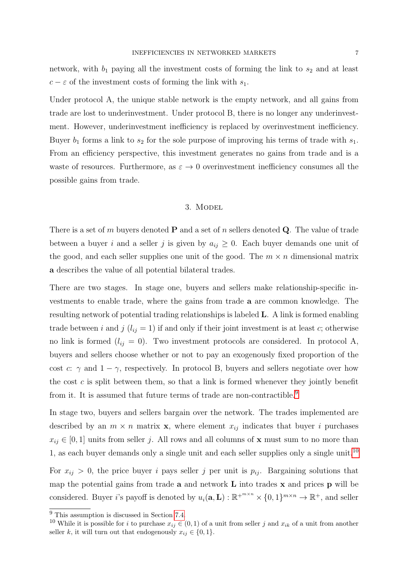network, with  $b_1$  paying all the investment costs of forming the link to  $s_2$  and at least  $c - \varepsilon$  of the investment costs of forming the link with  $s_1$ .

Under protocol A, the unique stable network is the empty network, and all gains from trade are lost to underinvestment. Under protocol B, there is no longer any underinvestment. However, underinvestment inefficiency is replaced by overinvestment inefficiency. Buyer  $b_1$  forms a link to  $s_2$  for the sole purpose of improving his terms of trade with  $s_1$ . From an efficiency perspective, this investment generates no gains from trade and is a waste of resources. Furthermore, as  $\varepsilon \to 0$  overinvestment inefficiency consumes all the possible gains from trade.

## 3. MODEL

<span id="page-6-0"></span>There is a set of m buyers denoted **P** and a set of n sellers denoted **Q**. The value of trade between a buyer i and a seller j is given by  $a_{ij} \geq 0$ . Each buyer demands one unit of the good, and each seller supplies one unit of the good. The  $m \times n$  dimensional matrix a describes the value of all potential bilateral trades.

There are two stages. In stage one, buyers and sellers make relationship-specific investments to enable trade, where the gains from trade a are common knowledge. The resulting network of potential trading relationships is labeled L. A link is formed enabling trade between i and j  $(l_{ij} = 1)$  if and only if their joint investment is at least c; otherwise no link is formed  $(l_{ij} = 0)$ . Two investment protocols are considered. In protocol A, buyers and sellers choose whether or not to pay an exogenously fixed proportion of the cost c:  $\gamma$  and  $1 - \gamma$ , respectively. In protocol B, buyers and sellers negotiate over how the cost  $c$  is split between them, so that a link is formed whenever they jointly benefit from it. It is assumed that future terms of trade are non-contractible.<sup>[9](#page-6-1)</sup>

In stage two, buyers and sellers bargain over the network. The trades implemented are described by an  $m \times n$  matrix **x**, where element  $x_{ij}$  indicates that buyer i purchases  $x_{ij} \in [0,1]$  units from seller j. All rows and all columns of **x** must sum to no more than 1, as each buyer demands only a single unit and each seller supplies only a single unit.<sup>[10](#page-6-2)</sup>

For  $x_{ij} > 0$ , the price buyer i pays seller j per unit is  $p_{ij}$ . Bargaining solutions that map the potential gains from trade  $a$  and network  $L$  into trades  $x$  and prices  $p$  will be considered. Buyer *i*'s payoff is denoted by  $u_i(\mathbf{a}, \mathbf{L}) : \mathbb{R}^{+^{m \times n}} \times \{0, 1\}^{m \times n} \to \mathbb{R}^+$ , and seller

<span id="page-6-1"></span><sup>9</sup> This assumption is discussed in Section [7.4.](#page-28-0)

<span id="page-6-2"></span><sup>&</sup>lt;sup>10</sup> While it is possible for *i* to purchase  $x_{ij} \in (0,1)$  of a unit from seller *j* and  $x_{ik}$  of a unit from another seller k, it will turn out that endogenously  $x_{ij} \in \{0, 1\}.$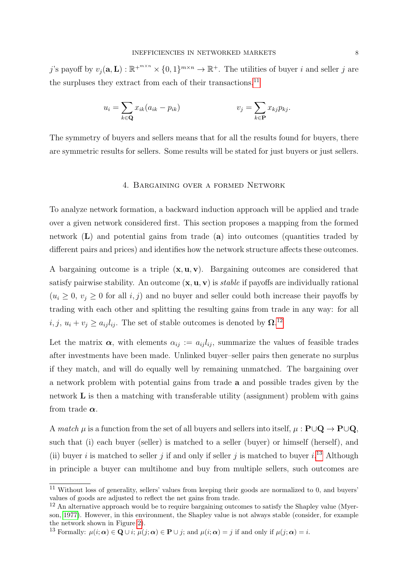j's payoff by  $v_j(\mathbf{a}, \mathbf{L}) : \mathbb{R}^{m \times n} \times \{0, 1\}^{m \times n} \to \mathbb{R}^+$ . The utilities of buyer i and seller j are the surpluses they extract from each of their transactions.<sup>[11](#page-7-1)</sup>

$$
u_i = \sum_{k \in \mathbf{Q}} x_{ik} (a_{ik} - p_{ik}) \qquad \qquad v_j = \sum_{k \in \mathbf{P}} x_{kj} p_{kj}.
$$

<span id="page-7-0"></span>The symmetry of buyers and sellers means that for all the results found for buyers, there are symmetric results for sellers. Some results will be stated for just buyers or just sellers.

# 4. Bargaining over a formed Network

To analyze network formation, a backward induction approach will be applied and trade over a given network considered first. This section proposes a mapping from the formed network  $(L)$  and potential gains from trade  $(a)$  into outcomes (quantities traded by different pairs and prices) and identifies how the network structure affects these outcomes.

A bargaining outcome is a triple  $(x, u, v)$ . Bargaining outcomes are considered that satisfy pairwise stability. An outcome  $(x, u, v)$  is *stable* if payoffs are individually rational  $(u_i \geq 0, v_j \geq 0$  for all  $i, j$  and no buyer and seller could both increase their payoffs by trading with each other and splitting the resulting gains from trade in any way: for all  $i, j, u_i + v_j \ge a_{ij}l_{ij}$ . The set of stable outcomes is denoted by  $\Omega$ .<sup>[12](#page-7-2)</sup>

Let the matrix  $\alpha$ , with elements  $\alpha_{ij} := a_{ij} l_{ij}$ , summarize the values of feasible trades after investments have been made. Unlinked buyer–seller pairs then generate no surplus if they match, and will do equally well by remaining unmatched. The bargaining over a network problem with potential gains from trade a and possible trades given by the network L is then a matching with transferable utility (assignment) problem with gains from trade  $\alpha$ .

A match  $\mu$  is a function from the set of all buyers and sellers into itself,  $\mu$ :  $P \cup Q \rightarrow P \cup Q$ , such that (i) each buyer (seller) is matched to a seller (buyer) or himself (herself), and (ii) buyer i is matched to seller j if and only if seller j is matched to buyer  $i^{13}$  $i^{13}$  $i^{13}$  Although in principle a buyer can multihome and buy from multiple sellers, such outcomes are

<span id="page-7-1"></span><sup>11</sup> Without loss of generality, sellers' values from keeping their goods are normalized to 0, and buyers' values of goods are adjusted to reflect the net gains from trade.

<span id="page-7-2"></span><sup>&</sup>lt;sup>12</sup> An alternative approach would be to require bargaining outcomes to satisfy the Shapley value (Myerson, [1977\)](#page-43-9). However, in this environment, the Shapley value is not always stable (consider, for example the network shown in Figure [2\)](#page-9-0).

<span id="page-7-3"></span><sup>&</sup>lt;sup>13</sup> Formally:  $\mu(i; \alpha) \in \mathbf{Q} \cup i$ ;  $\mu(j; \alpha) \in \mathbf{P} \cup j$ ; and  $\mu(i; \alpha) = j$  if and only if  $\mu(j; \alpha) = i$ .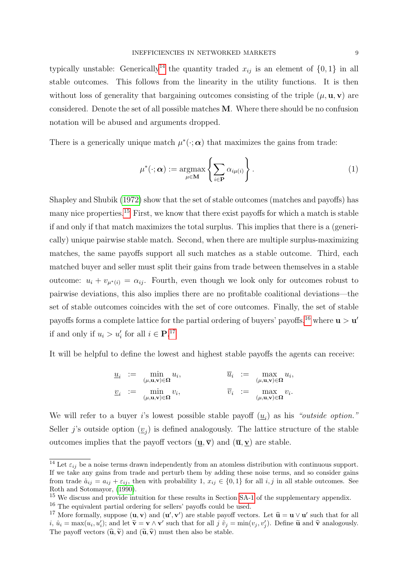typically unstable: Generically<sup>[14](#page-8-0)</sup> the quantity traded  $x_{ij}$  is an element of  $\{0, 1\}$  in all stable outcomes. This follows from the linearity in the utility functions. It is then without loss of generality that bargaining outcomes consisting of the triple  $(\mu, \mathbf{u}, \mathbf{v})$  are considered. Denote the set of all possible matches M. Where there should be no confusion notation will be abused and arguments dropped.

There is a generically unique match  $\mu^*(\cdot; \alpha)$  that maximizes the gains from trade:

$$
\mu^*(\cdot;\boldsymbol{\alpha}) := \underset{\mu \in \mathbf{M}}{\operatorname{argmax}} \left\{ \sum_{i \in \mathbf{P}} \alpha_{i\mu(i)} \right\}.
$$
 (1)

Shapley and Shubik [\(1972\)](#page-44-2) show that the set of stable outcomes (matches and payoffs) has many nice properties.<sup>[15](#page-8-1)</sup> First, we know that there exist payoffs for which a match is stable if and only if that match maximizes the total surplus. This implies that there is a (generically) unique pairwise stable match. Second, when there are multiple surplus-maximizing matches, the same payoffs support all such matches as a stable outcome. Third, each matched buyer and seller must split their gains from trade between themselves in a stable outcome:  $u_i + v_{\mu^*(i)} = \alpha_{ij}$ . Fourth, even though we look only for outcomes robust to pairwise deviations, this also implies there are no profitable coalitional deviations—the set of stable outcomes coincides with the set of core outcomes. Finally, the set of stable payoffs forms a complete lattice for the partial ordering of buyers' payoffs, <sup>[16](#page-8-2)</sup> where  $\mathbf{u} > \mathbf{u}'$ if and only if  $u_i > u'_i$  for all  $i \in \mathbf{P}.^{17}$  $i \in \mathbf{P}.^{17}$  $i \in \mathbf{P}.^{17}$ 

It will be helpful to define the lowest and highest stable payoffs the agents can receive:

$$
\underline{u}_i := \min_{(\mu, \mathbf{u}, \mathbf{v}) \in \Omega} u_i, \qquad \qquad \overline{u}_i := \max_{(\mu, \mathbf{u}, \mathbf{v}) \in \Omega} u_i, \n\underline{v}_i := \min_{(\mu, \mathbf{u}, \mathbf{v}) \in \Omega} v_i, \qquad \qquad \overline{v}_i := \max_{(\mu, \mathbf{u}, \mathbf{v}) \in \Omega} v_i.
$$

We will refer to a buyer *i*'s lowest possible stable payoff  $(\underline{u}_i)$  as his "outside option." Seller *j*'s outside option  $(\underline{v}_j)$  is defined analogously. The lattice structure of the stable outcomes implies that the payoff vectors  $(\mathbf{u}, \overline{\mathbf{v}})$  and  $(\overline{\mathbf{u}}, \mathbf{v})$  are stable.

<span id="page-8-0"></span><sup>&</sup>lt;sup>14</sup> Let  $\varepsilon_{ij}$  be a noise terms drawn independently from an atomless distribution with continuous support. If we take any gains from trade and perturb them by adding these noise terms, and so consider gains from trade  $\hat{a}_{ij} = a_{ij} + \varepsilon_{ij}$ , then with probability 1,  $x_{ij} \in \{0,1\}$  for all  $i, j$  in all stable outcomes. See Roth and Sotomayor, [\(1990\)](#page-44-3).

<span id="page-8-2"></span><span id="page-8-1"></span><sup>&</sup>lt;sup>15</sup> We discuss and provide intuition for these results in Section [SA-1](#page-0-1) of the supplementary appendix. <sup>16</sup> The equivalent partial ordering for sellers' payoffs could be used.

<span id="page-8-3"></span><sup>&</sup>lt;sup>17</sup> More formally, suppose  $(\mathbf{u}, \mathbf{v})$  and  $(\mathbf{u}', \mathbf{v}')$  are stable payoff vectors. Let  $\hat{\mathbf{u}} = \mathbf{u} \vee \mathbf{u}'$  such that for all  $\hat{\mathbf{u}} = \max(\mathbf{u}, \mathbf{u}')$  and  $\hat{\mathbf{u}} = \max(\mathbf{u}, \mathbf{u}')$ . Define  $\hat{\mathbf{u}}$  and  $\hat{\$  $i, \hat{u}_i = \max(u_i, u'_i);$  and let  $\widetilde{\mathbf{v}} = \mathbf{v} \wedge \mathbf{v}'$  such that for all  $j \tilde{v}_j = \min(v_j, v'_j)$ . Define  $\widetilde{\mathbf{u}}$  and  $\widehat{\mathbf{v}}$  analogously.<br>The payoff vectors  $(\widehat{\mathbf{u}}, \widehat{\mathbf{v}})$  and  $(\widetilde{\mathbf{u}}, \widehat{\mathbf{v}})$  must t The payoff vectors  $(\widehat{\mathbf{u}}, \widetilde{\mathbf{v}})$  and  $(\widetilde{\mathbf{u}}, \widehat{\mathbf{v}})$  must then also be stable.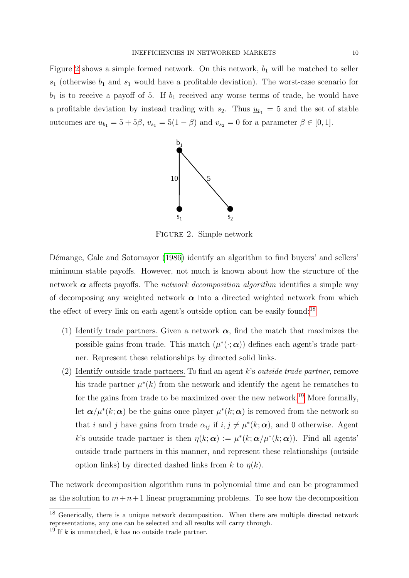<span id="page-9-0"></span>Figure [2](#page-9-0) shows a simple formed network. On this network,  $b_1$  will be matched to seller  $s_1$  (otherwise  $b_1$  and  $s_1$  would have a profitable deviation). The worst-case scenario for  $b_1$  is to receive a payoff of 5. If  $b_1$  received any worse terms of trade, he would have a profitable deviation by instead trading with  $s_2$ . Thus  $\underline{u}_{b_1} = 5$  and the set of stable outcomes are  $u_{b_1} = 5 + 5\beta$ ,  $v_{s_1} = 5(1 - \beta)$  and  $v_{s_2} = 0$  for a parameter  $\beta \in [0, 1]$ .



Figure 2. Simple network

Démange, Gale and Sotomayor [\(1986\)](#page-41-8) identify an algorithm to find buyers' and sellers' minimum stable payoffs. However, not much is known about how the structure of the network  $\alpha$  affects payoffs. The *network decomposition algorithm* identifies a simple way of decomposing any weighted network  $\alpha$  into a directed weighted network from which the effect of every link on each agent's outside option can be easily found:<sup>[18](#page-9-1)</sup>

- (1) Identify trade partners. Given a network  $\alpha$ , find the match that maximizes the possible gains from trade. This match  $(\mu^*(\cdot; \alpha))$  defines each agent's trade partner. Represent these relationships by directed solid links.
- (2) Identify outside trade partners. To find an agent k's *outside trade partner*, remove his trade partner  $\mu^*(k)$  from the network and identify the agent he rematches to for the gains from trade to be maximized over the new network.<sup>[19](#page-9-2)</sup> More formally, let  $\alpha/\mu^*(k;\alpha)$  be the gains once player  $\mu^*(k;\alpha)$  is removed from the network so that i and j have gains from trade  $\alpha_{ij}$  if  $i, j \neq \mu^*(k; \alpha)$ , and 0 otherwise. Agent k's outside trade partner is then  $\eta(k; \alpha) := \mu^*(k; \alpha/\mu^*(k; \alpha))$ . Find all agents' outside trade partners in this manner, and represent these relationships (outside option links) by directed dashed links from k to  $\eta(k)$ .

The network decomposition algorithm runs in polynomial time and can be programmed as the solution to  $m+n+1$  linear programming problems. To see how the decomposition

<span id="page-9-1"></span><sup>&</sup>lt;sup>18</sup> Generically, there is a unique network decomposition. When there are multiple directed network representations, any one can be selected and all results will carry through.

<span id="page-9-2"></span><sup>&</sup>lt;sup>19</sup> If k is unmatched, k has no outside trade partner.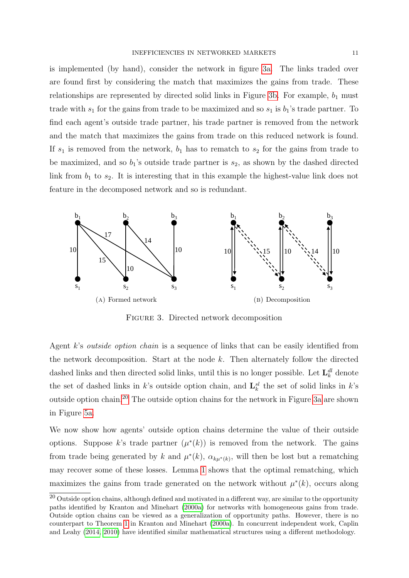is implemented (by hand), consider the network in figure [3a.](#page-10-0) The links traded over are found first by considering the match that maximizes the gains from trade. These relationships are represented by directed solid links in Figure [3b.](#page-10-1) For example,  $b_1$  must trade with  $s_1$  for the gains from trade to be maximized and so  $s_1$  is  $b_1$ 's trade partner. To find each agent's outside trade partner, his trade partner is removed from the network and the match that maximizes the gains from trade on this reduced network is found. If  $s_1$  is removed from the network,  $b_1$  has to rematch to  $s_2$  for the gains from trade to be maximized, and so  $b_1$ 's outside trade partner is  $s_2$ , as shown by the dashed directed link from  $b_1$  to  $s_2$ . It is interesting that in this example the highest-value link does not feature in the decomposed network and so is redundant.

<span id="page-10-3"></span><span id="page-10-0"></span>

<span id="page-10-1"></span>Figure 3. Directed network decomposition

Agent k's *outside option chain* is a sequence of links that can be easily identified from the network decomposition. Start at the node  $k$ . Then alternately follow the directed dashed links and then directed solid links, until this is no longer possible. Let  $\mathbf{L}_{k}^{dl}$  denote the set of dashed links in k's outside option chain, and  $\mathbf{L}_{k}^{sl}$  the set of solid links in k's outside option chain.[20](#page-10-2) The outside option chains for the network in Figure [3a](#page-10-0) are shown in Figure [5a.](#page-13-0)

We now show how agents' outside option chains determine the value of their outside options. Suppose k's trade partner  $(\mu^*(k))$  is removed from the network. The gains from trade being generated by k and  $\mu^*(k)$ ,  $\alpha_{k\mu^*(k)}$ , will then be lost but a rematching may recover some of these losses. Lemma [1](#page-11-0) shows that the optimal rematching, which maximizes the gains from trade generated on the network without  $\mu^*(k)$ , occurs along

<span id="page-10-2"></span> $20$  Outside option chains, although defined and motivated in a different way, are similar to the opportunity paths identified by Kranton and Minehart [\(2000a\)](#page-43-1) for networks with homogeneous gains from trade. Outside option chains can be viewed as a generalization of opportunity paths. However, there is no counterpart to Theorem [1](#page-12-0) in Kranton and Minehart [\(2000a\)](#page-43-1). In concurrent independent work, Caplin and Leahy [\(2014,](#page-41-9) [2010\)](#page-41-10) have identified similar mathematical structures using a different methodology.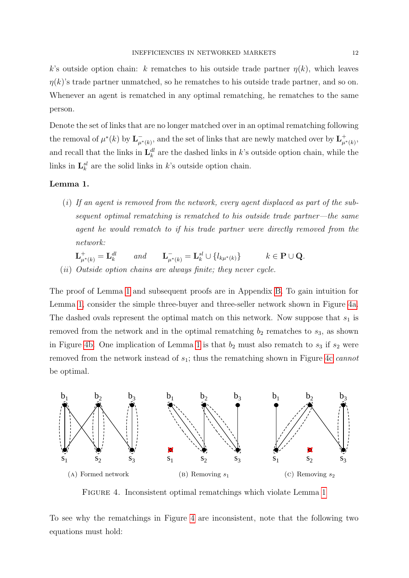k's outside option chain: k rematches to his outside trade partner  $\eta(k)$ , which leaves  $\eta(k)$ 's trade partner unmatched, so he rematches to his outside trade partner, and so on. Whenever an agent is rematched in any optimal rematching, he rematches to the same person.

Denote the set of links that are no longer matched over in an optimal rematching following the removal of  $\mu^*(k)$  by  $\mathbf{L}_{\mu^*}^ \mu^*(k)$ , and the set of links that are newly matched over by  $\mathbf{L}^{\mathbf{+}}_{\mu^*(k)}$ , and recall that the links in  $\mathbf{L}_k^{dl}$  are the dashed links in k's outside option chain, while the links in  $\mathbf{L}_{k}^{sl}$  are the solid links in k's outside option chain.

## <span id="page-11-0"></span>Lemma 1.

- $(i)$  If an agent is removed from the network, every agent displaced as part of the subsequent optimal rematching is rematched to his outside trade partner—the same agent he would rematch to if his trade partner were directly removed from the network:
- ${\bf L}_{\mu^*(k)}^\pm = {\bf L}_k^{dl} \qquad and \qquad {\bf L}_{\mu^*(k)}^- = {\bf L}_k^{sl} \cup \{l_{k\mu^*(k)}\} \qquad \quad k \in {\bf P} \cup {\bf Q}.$  $(ii)$  Outside option chains are always finite; they never cycle.

The proof of Lemma [1](#page-11-0) and subsequent proofs are in Appendix [B.](#page-31-0) To gain intuition for Lemma [1,](#page-11-0) consider the simple three-buyer and three-seller network shown in Figure [4a.](#page-11-1) The dashed ovals represent the optimal match on this network. Now suppose that  $s_1$  is removed from the network and in the optimal rematching  $b_2$  rematches to  $s_3$ , as shown in Figure [4b.](#page-11-2) One implication of Lemma [1](#page-11-0) is that  $b_2$  must also rematch to  $s_3$  if  $s_2$  were removed from the network instead of  $s_1$ ; thus the rematching shown in Figure [4c](#page-11-3) *cannot* be optimal.

<span id="page-11-4"></span><span id="page-11-1"></span>

<span id="page-11-3"></span><span id="page-11-2"></span>Figure 4. Inconsistent optimal rematchings which violate Lemma [1](#page-11-0)

To see why the rematchings in Figure [4](#page-11-4) are inconsistent, note that the following two equations must hold: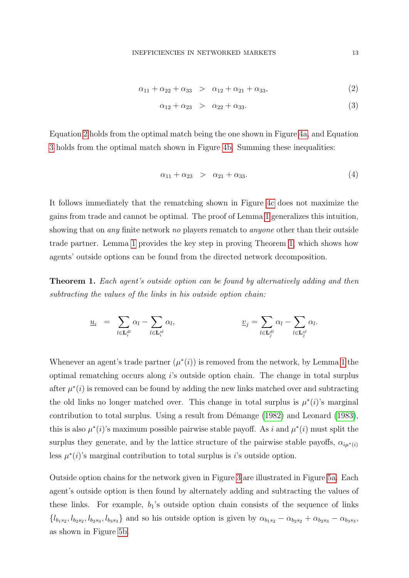<span id="page-12-1"></span>
$$
\alpha_{11} + \alpha_{22} + \alpha_{33} > \alpha_{12} + \alpha_{21} + \alpha_{33}, \tag{2}
$$

$$
\alpha_{12} + \alpha_{23} > \alpha_{22} + \alpha_{33}.
$$
 (3)

Equation [2](#page-12-1) holds from the optimal match being the one shown in Figure [4a,](#page-11-1) and Equation [3](#page-12-1) holds from the optimal match shown in Figure [4b.](#page-11-2) Summing these inequalities:

$$
\alpha_{11} + \alpha_{23} > \alpha_{21} + \alpha_{33}.
$$
 (4)

It follows immediately that the rematching shown in Figure [4c](#page-11-3) does not maximize the gains from trade and cannot be optimal. The proof of Lemma [1](#page-11-0) generalizes this intuition, showing that on *any* finite network no players rematch to *anyone* other than their outside trade partner. Lemma [1](#page-11-0) provides the key step in proving Theorem [1,](#page-12-0) which shows how agents' outside options can be found from the directed network decomposition.

<span id="page-12-0"></span>**Theorem 1.** Each agent's outside option can be found by alternatively adding and then subtracting the values of the links in his outside option chain:

<span id="page-12-2"></span>
$$
\underline{u}_i = \sum_{l \in \mathbf{L}_i^{dl}} \alpha_l - \sum_{l \in \mathbf{L}_i^{sl}} \alpha_l, \qquad \qquad \underline{v}_j = \sum_{l \in \mathbf{L}_j^{dl}} \alpha_l - \sum_{l \in \mathbf{L}_j^{sl}} \alpha_l.
$$

Whenever an agent's trade partner  $(\mu^*(i))$  is removed from the network, by Lemma [1](#page-11-0) the optimal rematching occurs along i's outside option chain. The change in total surplus after  $\mu^*(i)$  is removed can be found by adding the new links matched over and subtracting the old links no longer matched over. This change in total surplus is  $\mu^*(i)$ 's marginal contribution to total surplus. Using a result from Démange  $(1982)$  and Leonard  $(1983)$ , this is also  $\mu^*(i)$ 's maximum possible pairwise stable payoff. As i and  $\mu^*(i)$  must split the surplus they generate, and by the lattice structure of the pairwise stable payoffs,  $\alpha_{i\mu^*(i)}$ less  $\mu^*(i)$ 's marginal contribution to total surplus is *i*'s outside option.

Outside option chains for the network given in Figure [3](#page-10-3) are illustrated in Figure [5a.](#page-13-0) Each agent's outside option is then found by alternately adding and subtracting the values of these links. For example,  $b_1$ 's outside option chain consists of the sequence of links  $\{l_{b_1s_2}, l_{b_2s_2}, l_{b_2s_3}, l_{b_3s_3}\}\$ and so his outside option is given by  $\alpha_{b_1s_2} - \alpha_{b_2s_2} + \alpha_{b_2s_3} - \alpha_{b_3s_3}$ as shown in Figure [5b.](#page-13-1)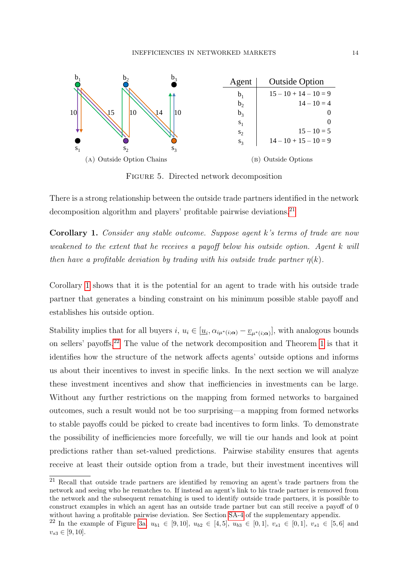<span id="page-13-0"></span>

<span id="page-13-1"></span>Figure 5. Directed network decomposition

There is a strong relationship between the outside trade partners identified in the network decomposition algorithm and players' profitable pairwise deviations.<sup>[21](#page-13-2)</sup>

<span id="page-13-3"></span>Corollary 1. Consider any stable outcome. Suppose agent k's terms of trade are now weakened to the extent that he receives a payoff below his outside option. Agent k will then have a profitable deviation by trading with his outside trade partner  $\eta(k)$ .

Corollary [1](#page-13-3) shows that it is the potential for an agent to trade with his outside trade partner that generates a binding constraint on his minimum possible stable payoff and establishes his outside option.

Stability implies that for all buyers  $i, u_i \in [\underline{u}_i, \alpha_{i\mu^*(i;\alpha)} - \underline{v}_{\mu^*(i;\alpha)}],$  with analogous bounds on sellers' payoffs.[22](#page-13-4) The value of the network decomposition and Theorem [1](#page-12-0) is that it identifies how the structure of the network affects agents' outside options and informs us about their incentives to invest in specific links. In the next section we will analyze these investment incentives and show that inefficiencies in investments can be large. Without any further restrictions on the mapping from formed networks to bargained outcomes, such a result would not be too surprising—a mapping from formed networks to stable payoffs could be picked to create bad incentives to form links. To demonstrate the possibility of inefficiencies more forcefully, we will tie our hands and look at point predictions rather than set-valued predictions. Pairwise stability ensures that agents receive at least their outside option from a trade, but their investment incentives will

<span id="page-13-2"></span><sup>21</sup> Recall that outside trade partners are identified by removing an agent's trade partners from the network and seeing who he rematches to. If instead an agent's link to his trade partner is removed from the network and the subsequent rematching is used to identify outside trade partners, it is possible to construct examples in which an agent has an outside trade partner but can still receive a payoff of 0 without having a profitable pairwise deviation. See Section [SA-4](#page-7-0) of the supplementary appendix.

<span id="page-13-4"></span><sup>&</sup>lt;sup>22</sup> In the example of Figure [3a,](#page-10-0)  $u_{b1} \in [9, 10]$ ,  $u_{b2} \in [4, 5]$ ,  $u_{b3} \in [0, 1]$ ,  $v_{s1} \in [0, 1]$ ,  $v_{s1} \in [5, 6]$  and  $v_{s3} \in [9, 10].$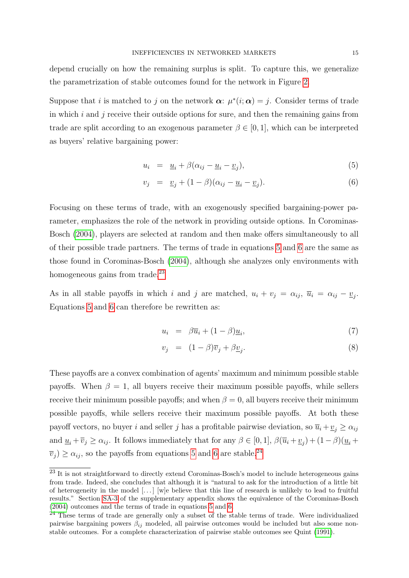depend crucially on how the remaining surplus is split. To capture this, we generalize the parametrization of stable outcomes found for the network in Figure [2.](#page-9-0)

Suppose that i is matched to j on the network  $\alpha$ :  $\mu^*(i; \alpha) = j$ . Consider terms of trade in which  $i$  and  $j$  receive their outside options for sure, and then the remaining gains from trade are split according to an exogenous parameter  $\beta \in [0, 1]$ , which can be interpreted as buyers' relative bargaining power:

$$
u_i = \underline{u}_i + \beta(\alpha_{ij} - \underline{u}_i - \underline{v}_j), \tag{5}
$$

$$
v_j = \underline{v}_j + (1 - \beta)(\alpha_{ij} - \underline{u}_i - \underline{v}_j). \tag{6}
$$

Focusing on these terms of trade, with an exogenously specified bargaining-power parameter, emphasizes the role of the network in providing outside options. In Corominas-Bosch [\(2004\)](#page-41-0), players are selected at random and then make offers simultaneously to all of their possible trade partners. The terms of trade in equations [5](#page-12-2) and [6](#page-12-2) are the same as those found in Corominas-Bosch [\(2004\)](#page-41-0), although she analyzes only environments with homogeneous gains from trade. $^{23}$  $^{23}$  $^{23}$ 

As in all stable payoffs in which i and j are matched,  $u_i + v_j = \alpha_{ij}$ ,  $\overline{u}_i = \alpha_{ij} - \underline{v}_j$ . Equations [5](#page-12-2) and [6](#page-12-2) can therefore be rewritten as:

$$
u_i = \beta \overline{u}_i + (1 - \beta) \underline{u}_i,\tag{7}
$$

$$
v_j = (1 - \beta)\overline{v}_j + \beta \underline{v}_j. \tag{8}
$$

These payoffs are a convex combination of agents' maximum and minimum possible stable payoffs. When  $\beta = 1$ , all buyers receive their maximum possible payoffs, while sellers receive their minimum possible payoffs; and when  $\beta = 0$ , all buyers receive their minimum possible payoffs, while sellers receive their maximum possible payoffs. At both these payoff vectors, no buyer i and seller j has a profitable pairwise deviation, so  $\overline{u}_i + \underline{v}_j \ge \alpha_{ij}$ and  $\underline{u}_i + \overline{v}_j \ge \alpha_{ij}$ . It follows immediately that for any  $\beta \in [0,1]$ ,  $\beta(\overline{u}_i + \underline{v}_j) + (1-\beta)(\underline{u}_i + \beta)$  $\overline{v}_i$ )  $\geq \alpha_{ij}$ , so the payoffs from equations [5](#page-12-2) and [6](#page-12-2) are stable.<sup>[24](#page-14-1)</sup>

<span id="page-14-0"></span><sup>&</sup>lt;sup>23</sup> It is not straightforward to directly extend Corominas-Bosch's model to include heterogeneous gains from trade. Indeed, she concludes that although it is "natural to ask for the introduction of a little bit of heterogeneity in the model [. . . ] [w]e believe that this line of research is unlikely to lead to fruitful results." Section [SA-3](#page-6-0) of the supplementary appendix shows the equivalence of the Corominas-Bosch [\(2004\)](#page-41-0) outcomes and the terms of trade in equations [5](#page-12-2) and [6.](#page-12-2)

<span id="page-14-1"></span><sup>&</sup>lt;sup>24</sup> These terms of trade are generally only a subset of the stable terms of trade. Were individualized pairwise bargaining powers  $\beta_{ij}$  modeled, all pairwise outcomes would be included but also some nonstable outcomes. For a complete characterization of pairwise stable outcomes see Quint [\(1991\)](#page-43-11).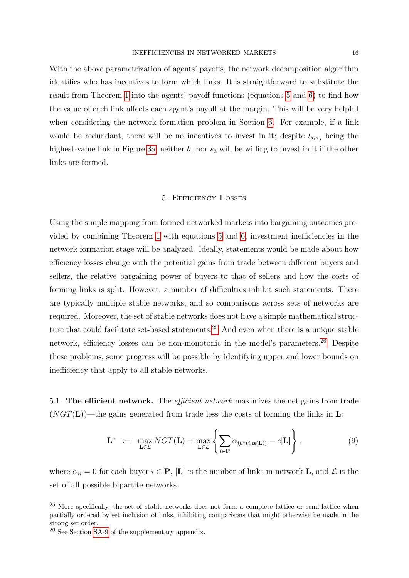With the above parametrization of agents' payoffs, the network decomposition algorithm identifies who has incentives to form which links. It is straightforward to substitute the result from Theorem [1](#page-12-0) into the agents' payoff functions (equations [5](#page-12-2) and [6\)](#page-12-2) to find how the value of each link affects each agent's payoff at the margin. This will be very helpful when considering the network formation problem in Section [6.](#page-17-0) For example, if a link would be redundant, there will be no incentives to invest in it; despite  $l_{b_1s_3}$  being the highest-value link in Figure [3a,](#page-10-0) neither  $b_1$  nor  $s_3$  will be willing to invest in it if the other links are formed.

### 5. Efficiency Losses

<span id="page-15-0"></span>Using the simple mapping from formed networked markets into bargaining outcomes provided by combining Theorem [1](#page-12-0) with equations [5](#page-12-2) and [6,](#page-12-2) investment inefficiencies in the network formation stage will be analyzed. Ideally, statements would be made about how efficiency losses change with the potential gains from trade between different buyers and sellers, the relative bargaining power of buyers to that of sellers and how the costs of forming links is split. However, a number of difficulties inhibit such statements. There are typically multiple stable networks, and so comparisons across sets of networks are required. Moreover, the set of stable networks does not have a simple mathematical struc-ture that could facilitate set-based statements.<sup>[25](#page-15-1)</sup> And even when there is a unique stable network, efficiency losses can be non-monotonic in the model's parameters.<sup>[26](#page-15-2)</sup> Despite these problems, some progress will be possible by identifying upper and lower bounds on inefficiency that apply to all stable networks.

5.1. The efficient network. The efficient network maximizes the net gains from trade  $(NGT(L))$ —the gains generated from trade less the costs of forming the links in L:

$$
\mathbf{L}^{e} := \max_{\mathbf{L}\in\mathcal{L}} NGT(\mathbf{L}) = \max_{\mathbf{L}\in\mathcal{L}} \left\{ \sum_{i\in\mathbf{P}} \alpha_{i\mu^{*}(i,\alpha(\mathbf{L}))} - c|\mathbf{L}|\right\},
$$
(9)

where  $\alpha_{ii} = 0$  for each buyer  $i \in \mathbf{P}$ ,  $|\mathbf{L}|$  is the number of links in network **L**, and  $\mathcal{L}$  is the set of all possible bipartite networks.

<span id="page-15-1"></span><sup>25</sup> More specifically, the set of stable networks does not form a complete lattice or semi-lattice when partially ordered by set inclusion of links, inhibiting comparisons that might otherwise be made in the strong set order.

<span id="page-15-2"></span><sup>26</sup> See Section [SA-9](#page-0-2) of the supplementary appendix.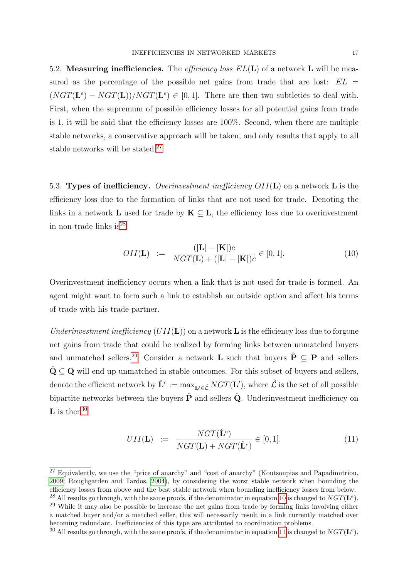5.2. **Measuring inefficiencies.** The *efficiency loss*  $EL(L)$  of a network L will be measured as the percentage of the possible net gains from trade that are lost:  $EL =$  $(NGT(L<sup>e</sup>) - NGT(L))/NGT(L<sup>e</sup>) \in [0,1].$  There are then two subtleties to deal with. First, when the supremum of possible efficiency losses for all potential gains from trade is 1, it will be said that the efficiency losses are 100%. Second, when there are multiple stable networks, a conservative approach will be taken, and only results that apply to all stable networks will be stated.<sup>[27](#page-16-0)</sup>

5.3. Types of inefficiency. Overinvestment inefficiency  $OII(L)$  on a network L is the efficiency loss due to the formation of links that are not used for trade. Denoting the links in a network L used for trade by  $K \subseteq L$ , the efficiency loss due to overinvestment in non-trade links is  $2^8$ 

<span id="page-16-4"></span>
$$
OII(\mathbf{L}) \quad := \quad \frac{(|\mathbf{L}| - |\mathbf{K}|)c}{NGT(\mathbf{L}) + (|\mathbf{L}| - |\mathbf{K}|)c} \in [0, 1]. \tag{10}
$$

Overinvestment inefficiency occurs when a link that is not used for trade is formed. An agent might want to form such a link to establish an outside option and affect his terms of trade with his trade partner.

Underinvestment inefficiency  $(UII(\mathbf{L}))$  on a network **L** is the efficiency loss due to forgone net gains from trade that could be realized by forming links between unmatched buyers and unmatched sellers.<sup>[29](#page-16-2)</sup> Consider a network **L** such that buyers  $\hat{\mathbf{P}} \subseteq \mathbf{P}$  and sellers  $\hat{\mathbf{Q}} \subseteq \mathbf{Q}$  will end up unmatched in stable outcomes. For this subset of buyers and sellers, denote the efficient network by  $\hat{\mathbf{L}}^e := \max_{\mathbf{L}' \in \hat{\mathcal{L}}} NGT(\mathbf{L}'),$  where  $\hat{\mathcal{L}}$  is the set of all possible bipartite networks between the buyers  $\hat{\mathbf{P}}$  and sellers  $\hat{\mathbf{Q}}$ . Underinvestment inefficiency on  $L$  is then<sup>[30](#page-16-3)</sup>

<span id="page-16-5"></span>
$$
UII(\mathbf{L}) \quad := \quad \frac{NGT(\hat{\mathbf{L}}^e)}{NGT(\mathbf{L}) + NGT(\hat{\mathbf{L}}^e)} \in [0, 1]. \tag{11}
$$

<span id="page-16-0"></span><sup>&</sup>lt;sup>27</sup> Equivalently, we use the "price of anarchy" and "cost of anarchy" (Koutsoupias and Papadimitriou, [2009;](#page-42-7) Roughgarden and Tardos, [2004\)](#page-44-1), by considering the worst stable network when bounding the efficiency losses from above and the best stable network when bounding inefficiency losses from below. <sup>28</sup> All results go through, with the same proofs, if the denominator in equation [10](#page-16-4) is changed to  $NGT(\mathbf{L}^e)$ .

<span id="page-16-2"></span><span id="page-16-1"></span> $^{29}$  While it may also be possible to increase the net gains from trade by forming links involving either a matched buyer and/or a matched seller, this will necessarily result in a link currently matched over becoming redundant. Inefficiencies of this type are attributed to coordination problems.

<span id="page-16-3"></span><sup>&</sup>lt;sup>30</sup> All results go through, with the same proofs, if the denominator in equation [11](#page-16-5) is changed to  $NGT(\mathbf{L}^e)$ .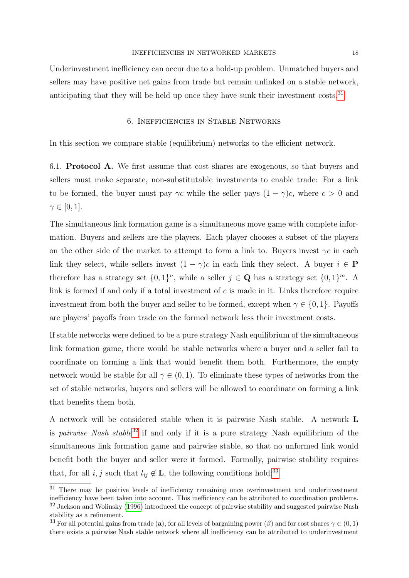Underinvestment inefficiency can occur due to a hold-up problem. Unmatched buyers and sellers may have positive net gains from trade but remain unlinked on a stable network, anticipating that they will be held up once they have sunk their investment costs.[31](#page-17-1)

## 6. Inefficiencies in Stable Networks

<span id="page-17-0"></span>In this section we compare stable (equilibrium) networks to the efficient network.

6.1. Protocol A. We first assume that cost shares are exogenous, so that buyers and sellers must make separate, non-substitutable investments to enable trade: For a link to be formed, the buyer must pay  $\gamma c$  while the seller pays  $(1 - \gamma)c$ , where  $c > 0$  and  $\gamma \in [0,1].$ 

The simultaneous link formation game is a simultaneous move game with complete information. Buyers and sellers are the players. Each player chooses a subset of the players on the other side of the market to attempt to form a link to. Buyers invest  $\gamma c$  in each link they select, while sellers invest  $(1 - \gamma)c$  in each link they select. A buyer  $i \in \mathbf{P}$ therefore has a strategy set  $\{0,1\}^n$ , while a seller  $j \in \mathbf{Q}$  has a strategy set  $\{0,1\}^m$ . A link is formed if and only if a total investment of  $c$  is made in it. Links therefore require investment from both the buyer and seller to be formed, except when  $\gamma \in \{0, 1\}$ . Payoffs are players' payoffs from trade on the formed network less their investment costs.

If stable networks were defined to be a pure strategy Nash equilibrium of the simultaneous link formation game, there would be stable networks where a buyer and a seller fail to coordinate on forming a link that would benefit them both. Furthermore, the empty network would be stable for all  $\gamma \in (0,1)$ . To eliminate these types of networks from the set of stable networks, buyers and sellers will be allowed to coordinate on forming a link that benefits them both.

A network will be considered stable when it is pairwise Nash stable. A network L is *pairwise Nash stable*<sup>[32](#page-17-2)</sup> if and only if it is a pure strategy Nash equilibrium of the simultaneous link formation game and pairwise stable, so that no unformed link would benefit both the buyer and seller were it formed. Formally, pairwise stability requires that, for all i, j such that  $l_{ij} \notin \mathbf{L}$ , the following conditions hold:<sup>[33](#page-17-3)</sup>

<span id="page-17-2"></span><span id="page-17-1"></span><sup>&</sup>lt;sup>31</sup> There may be positive levels of inefficiency remaining once overinvestment and underinvestment inefficiency have been taken into account. This inefficiency can be attributed to coordination problems. <sup>32</sup> Jackson and Wolinsky [\(1996\)](#page-42-8) introduced the concept of pairwise stability and suggested pairwise Nash stability as a refinement.

<span id="page-17-3"></span><sup>&</sup>lt;sup>33</sup> For all potential gains from trade (a), for all levels of bargaining power ( $\beta$ ) and for cost shares  $\gamma \in (0,1)$ there exists a pairwise Nash stable network where all inefficiency can be attributed to underinvestment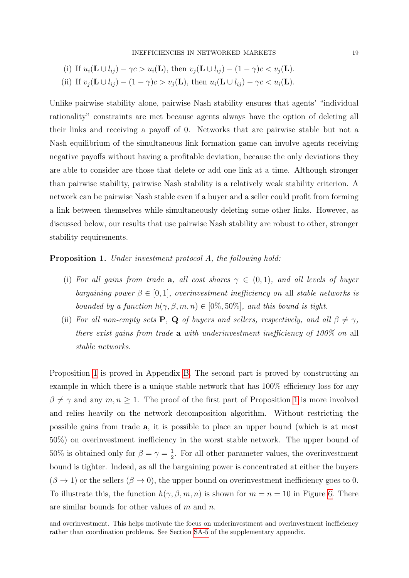- (i) If  $u_i(\mathbf{L} \cup l_{ij}) \gamma c > u_i(\mathbf{L})$ , then  $v_j(\mathbf{L} \cup l_{ij}) (1 \gamma)c < v_j(\mathbf{L})$ .
- (ii) If  $v_j(\mathbf{L} \cup l_{ij}) (1 \gamma)c > v_j(\mathbf{L})$ , then  $u_i(\mathbf{L} \cup l_{ij}) \gamma c < u_i(\mathbf{L})$ .

Unlike pairwise stability alone, pairwise Nash stability ensures that agents' "individual rationality" constraints are met because agents always have the option of deleting all their links and receiving a payoff of 0. Networks that are pairwise stable but not a Nash equilibrium of the simultaneous link formation game can involve agents receiving negative payoffs without having a profitable deviation, because the only deviations they are able to consider are those that delete or add one link at a time. Although stronger than pairwise stability, pairwise Nash stability is a relatively weak stability criterion. A network can be pairwise Nash stable even if a buyer and a seller could profit from forming a link between themselves while simultaneously deleting some other links. However, as discussed below, our results that use pairwise Nash stability are robust to other, stronger stability requirements.

## <span id="page-18-0"></span>Proposition 1. Under investment protocol A, the following hold:

- (i) For all gains from trade **a**, all cost shares  $\gamma \in (0,1)$ , and all levels of buyer bargaining power  $\beta \in [0, 1]$ , overinvestment inefficiency on all stable networks is bounded by a function  $h(\gamma, \beta, m, n) \in [0\%, 50\%]$ , and this bound is tight.
- (ii) For all non-empty sets P, Q of buyers and sellers, respectively, and all  $\beta \neq \gamma$ , there exist gains from trade a with underinvestment inefficiency of 100% on all stable networks.

Proposition [1](#page-18-0) is proved in Appendix [B.](#page-31-0) The second part is proved by constructing an example in which there is a unique stable network that has 100% efficiency loss for any  $\beta \neq \gamma$  and any  $m, n \geq 1$  $m, n \geq 1$ . The proof of the first part of Proposition 1 is more involved and relies heavily on the network decomposition algorithm. Without restricting the possible gains from trade a, it is possible to place an upper bound (which is at most 50%) on overinvestment inefficiency in the worst stable network. The upper bound of 50% is obtained only for  $\beta = \gamma = \frac{1}{2}$  $\frac{1}{2}$ . For all other parameter values, the overinvestment bound is tighter. Indeed, as all the bargaining power is concentrated at either the buyers  $(\beta \to 1)$  or the sellers  $(\beta \to 0)$ , the upper bound on overinvestment inefficiency goes to 0. To illustrate this, the function  $h(\gamma, \beta, m, n)$  is shown for  $m = n = 10$  in Figure [6.](#page-19-0) There are similar bounds for other values of m and n.

and overinvestment. This helps motivate the focus on underinvestment and overinvestment inefficiency rather than coordination problems. See Section [SA-5](#page-15-0) of the supplementary appendix.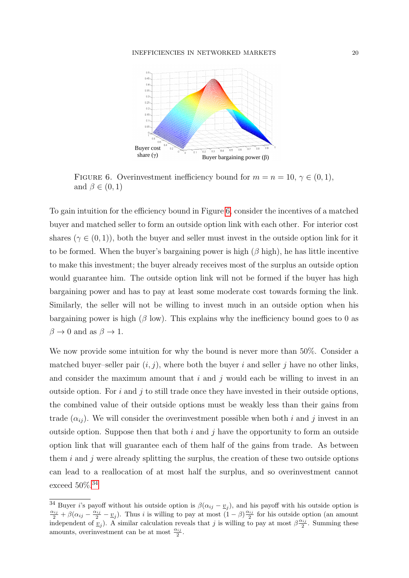#### INEFFICIENCIES IN NETWORKED MARKETS 20

<span id="page-19-0"></span>

FIGURE 6. Overinvestment inefficiency bound for  $m = n = 10, \gamma \in (0, 1)$ , and  $\beta \in (0,1)$ 

To gain intuition for the efficiency bound in Figure [6,](#page-19-0) consider the incentives of a matched buyer and matched seller to form an outside option link with each other. For interior cost shares ( $\gamma \in (0,1)$ ), both the buyer and seller must invest in the outside option link for it to be formed. When the buyer's bargaining power is high  $(\beta \text{ high})$ , he has little incentive to make this investment; the buyer already receives most of the surplus an outside option would guarantee him. The outside option link will not be formed if the buyer has high bargaining power and has to pay at least some moderate cost towards forming the link. Similarly, the seller will not be willing to invest much in an outside option when his bargaining power is high ( $\beta$  low). This explains why the inefficiency bound goes to 0 as  $\beta \to 0$  and as  $\beta \to 1$ .

We now provide some intuition for why the bound is never more than 50%. Consider a matched buyer–seller pair  $(i, j)$ , where both the buyer i and seller j have no other links, and consider the maximum amount that  $i$  and  $j$  would each be willing to invest in an outside option. For i and j to still trade once they have invested in their outside options, the combined value of their outside options must be weakly less than their gains from trade  $(\alpha_{ij})$ . We will consider the overinvestment possible when both i and j invest in an outside option. Suppose then that both  $i$  and  $j$  have the opportunity to form an outside option link that will guarantee each of them half of the gains from trade. As between them  $i$  and  $j$  were already splitting the surplus, the creation of these two outside options can lead to a reallocation of at most half the surplus, and so overinvestment cannot exceed 50%.[34](#page-19-1)

<span id="page-19-1"></span><sup>&</sup>lt;sup>34</sup> Buyer *i*'s payoff without his outside option is  $\beta(\alpha_{ij} - \underline{v}_j)$ , and his payoff with his outside option is  $\frac{\alpha_{ij}}{2} + \beta(\alpha_{ij} - \frac{\alpha_{ij}}{2} - \underline{v}_j)$ . Thus *i* is willing to pay at most  $(1 - \beta) \frac{\alpha_{ij}}{2}$  for his outside option (an amount independent of  $\underline{v}_j$ ). A similar calculation reveals that j is willing to pay at most  $\beta \frac{\alpha_{ij}}{2}$ . Summing these amounts, overinvestment can be at most  $\frac{\alpha_{ij}}{2}$ .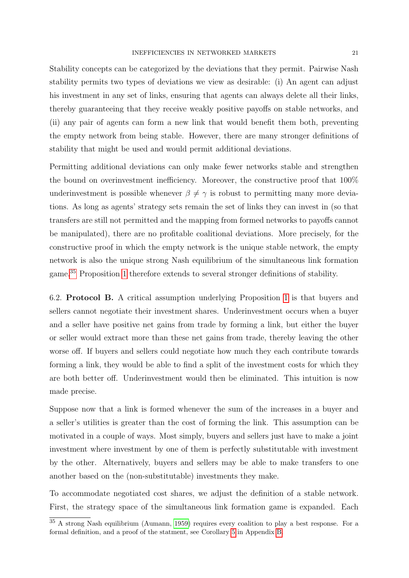Stability concepts can be categorized by the deviations that they permit. Pairwise Nash stability permits two types of deviations we view as desirable: (i) An agent can adjust his investment in any set of links, ensuring that agents can always delete all their links, thereby guaranteeing that they receive weakly positive payoffs on stable networks, and (ii) any pair of agents can form a new link that would benefit them both, preventing the empty network from being stable. However, there are many stronger definitions of stability that might be used and would permit additional deviations.

Permitting additional deviations can only make fewer networks stable and strengthen the bound on overinvestment inefficiency. Moreover, the constructive proof that 100% underinvestment is possible whenever  $\beta \neq \gamma$  is robust to permitting many more deviations. As long as agents' strategy sets remain the set of links they can invest in (so that transfers are still not permitted and the mapping from formed networks to payoffs cannot be manipulated), there are no profitable coalitional deviations. More precisely, for the constructive proof in which the empty network is the unique stable network, the empty network is also the unique strong Nash equilibrium of the simultaneous link formation game.[35](#page-20-0) Proposition [1](#page-18-0) therefore extends to several stronger definitions of stability.

<span id="page-20-1"></span>6.2. Protocol B. A critical assumption underlying Proposition [1](#page-18-0) is that buyers and sellers cannot negotiate their investment shares. Underinvestment occurs when a buyer and a seller have positive net gains from trade by forming a link, but either the buyer or seller would extract more than these net gains from trade, thereby leaving the other worse off. If buyers and sellers could negotiate how much they each contribute towards forming a link, they would be able to find a split of the investment costs for which they are both better off. Underinvestment would then be eliminated. This intuition is now made precise.

Suppose now that a link is formed whenever the sum of the increases in a buyer and a seller's utilities is greater than the cost of forming the link. This assumption can be motivated in a couple of ways. Most simply, buyers and sellers just have to make a joint investment where investment by one of them is perfectly substitutable with investment by the other. Alternatively, buyers and sellers may be able to make transfers to one another based on the (non-substitutable) investments they make.

To accommodate negotiated cost shares, we adjust the definition of a stable network. First, the strategy space of the simultaneous link formation game is expanded. Each

<span id="page-20-0"></span><sup>35</sup> A strong Nash equilibrium (Aumann, [1959\)](#page-41-12) requires every coalition to play a best response. For a formal definition, and a proof of the statment, see Corollary [5](#page-39-0) in Appendix [B.](#page-31-0)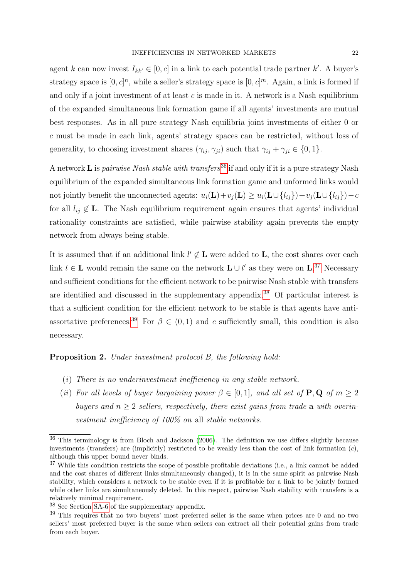agent k can now invest  $I_{kk'} \in [0, c]$  in a link to each potential trade partner k'. A buyer's strategy space is  $[0, c]^n$ , while a seller's strategy space is  $[0, c]^m$ . Again, a link is formed if and only if a joint investment of at least  $c$  is made in it. A network is a Nash equilibrium of the expanded simultaneous link formation game if all agents' investments are mutual best responses. As in all pure strategy Nash equilibria joint investments of either 0 or c must be made in each link, agents' strategy spaces can be restricted, without loss of generality, to choosing investment shares  $(\gamma_{ij}, \gamma_{ji})$  such that  $\gamma_{ij} + \gamma_{ji} \in \{0, 1\}.$ 

A network **L** is *pairwise Nash stable with transfers*<sup>[36](#page-21-0)</sup> if and only if it is a pure strategy Nash equilibrium of the expanded simultaneous link formation game and unformed links would not jointly benefit the unconnected agents:  $u_i(\mathbf{L})+v_j(\mathbf{L}) \geq u_i(\mathbf{L}\cup\{l_{ij}\})+v_j(\mathbf{L}\cup\{l_{ij}\})-c$ for all  $l_{ij} \notin L$ . The Nash equilibrium requirement again ensures that agents' individual rationality constraints are satisfied, while pairwise stability again prevents the empty network from always being stable.

It is assumed that if an additional link  $l' \notin L$  were added to L, the cost shares over each link  $l \in L$  would remain the same on the network  $L \cup l'$  as they were on  $L^{37}$  $L^{37}$  $L^{37}$  Necessary and sufficient conditions for the efficient network to be pairwise Nash stable with transfers are identified and discussed in the supplementary appendix.[38](#page-21-2) Of particular interest is that a sufficient condition for the efficient network to be stable is that agents have anti-assortative preferences.<sup>[39](#page-21-3)</sup> For  $\beta \in (0,1)$  and c sufficiently small, this condition is also necessary.

# <span id="page-21-4"></span>Proposition 2. Under investment protocol B, the following hold:

- (i) There is no underinvestment inefficiency in any stable network.
- (ii) For all levels of buyer bargaining power  $\beta \in [0,1]$ , and all set of **P**, **Q** of  $m > 2$ buyers and  $n > 2$  sellers, respectively, there exist gains from trade **a** with overinvestment inefficiency of 100% on all stable networks.

<span id="page-21-0"></span><sup>&</sup>lt;sup>36</sup> This terminology is from Bloch and Jackson [\(2006\)](#page-41-13). The definition we use differs slightly because investments (transfers) are (implicitly) restricted to be weakly less than the cost of link formation  $(c)$ , although this upper bound never binds.

<span id="page-21-1"></span><sup>&</sup>lt;sup>37</sup> While this condition restricts the scope of possible profitable deviations (i.e., a link cannot be added and the cost shares of different links simultaneously changed), it is in the same spirit as pairwise Nash stability, which considers a network to be stable even if it is profitable for a link to be jointly formed while other links are simultaneously deleted. In this respect, pairwise Nash stability with transfers is a relatively minimal requirement.

<span id="page-21-2"></span><sup>38</sup> See Section [SA-6](#page-17-0) of the supplementary appendix.

<span id="page-21-3"></span><sup>&</sup>lt;sup>39</sup> This requires that no two buyers' most preferred seller is the same when prices are 0 and no two sellers' most preferred buyer is the same when sellers can extract all their potential gains from trade from each buyer.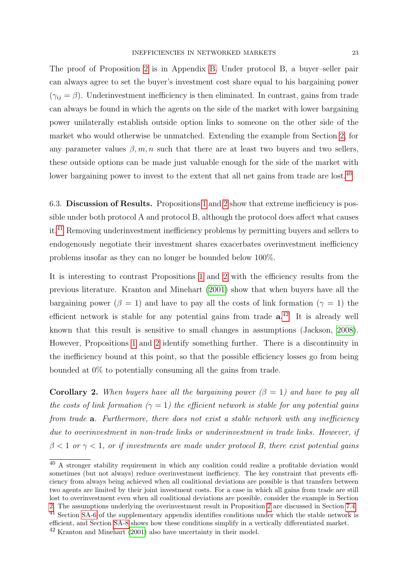The proof of Proposition [2](#page-21-4) is in Appendix [B.](#page-31-0) Under protocol B, a buyer–seller pair can always agree to set the buyer's investment cost share equal to his bargaining power  $(\gamma_{ij} = \beta)$ . Underinvestment inefficiency is then eliminated. In contrast, gains from trade can always be found in which the agents on the side of the market with lower bargaining power unilaterally establish outside option links to someone on the other side of the market who would otherwise be unmatched. Extending the example from Section [2,](#page-4-2) for any parameter values  $\beta, m, n$  such that there are at least two buyers and two sellers, these outside options can be made just valuable enough for the side of the market with lower bargaining power to invest to the extent that all net gains from trade are lost.<sup>[40](#page-22-0)</sup>

6.3. Discussion of Results. Propositions [1](#page-18-0) and [2](#page-21-4) show that extreme inefficiency is possible under both protocol A and protocol B, although the protocol does affect what causes it.[41](#page-22-1) Removing underinvestment inefficiency problems by permitting buyers and sellers to endogenously negotiate their investment shares exacerbates overinvestment inefficiency problems insofar as they can no longer be bounded below 100%.

It is interesting to contrast Propositions [1](#page-18-0) and [2](#page-21-4) with the efficiency results from the previous literature. Kranton and Minehart [\(2001\)](#page-43-6) show that when buyers have all the bargaining power ( $\beta = 1$ ) and have to pay all the costs of link formation ( $\gamma = 1$ ) the efficient network is stable for any potential gains from trade  $a^{42}$  $a^{42}$  $a^{42}$ . It is already well known that this result is sensitive to small changes in assumptions (Jackson, [2008\)](#page-42-9). However, Propositions [1](#page-18-0) and [2](#page-21-4) identify something further. There is a discontinuity in the inefficiency bound at this point, so that the possible efficiency losses go from being bounded at 0% to potentially consuming all the gains from trade.

**Corollary 2.** When buyers have all the bargaining power  $(\beta = 1)$  and have to pay all the costs of link formation ( $\gamma = 1$ ) the efficient network is stable for any potential gains from trade a. Furthermore, there does not exist a stable network with any inefficiency due to overinvestment in non-trade links or underinvestment in trade links. However, if  $\beta$  < 1 or  $\gamma$  < 1, or if investments are made under protocol B, there exist potential gains

<span id="page-22-0"></span><sup>&</sup>lt;sup>40</sup> A stronger stability requirement in which any coalition could realize a profitable deviation would sometimes (but not always) reduce overinvestment inefficiency. The key constraint that prevents efficiency from always being achieved when all coalitional deviations are possible is that transfers between two agents are limited by their joint investment costs. For a case in which all gains from trade are still lost to overinvestment even when all coalitional deviations are possible, consider the example in Section [2.](#page-4-2) The assumptions underlying the overinvestment result in Proposition [2](#page-21-4) are discussed in Section [7.4.](#page-28-0) <sup>41</sup> Section [SA-6](#page-17-0) of the supplementary appendix identifies conditions under which the stable network is efficient, and Section [SA-8](#page-29-0) shows how these conditions simplify in a vertically differentiated market.

<span id="page-22-2"></span><span id="page-22-1"></span> $42$  Kranton and Minehart [\(2001\)](#page-43-6) also have uncertainty in their model.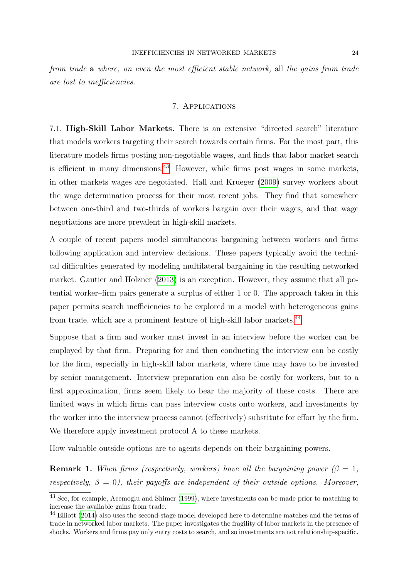<span id="page-23-0"></span>from trade a where, on even the most efficient stable network, all the gains from trade are lost to inefficiencies.

### 7. Applications

7.1. High-Skill Labor Markets. There is an extensive "directed search" literature that models workers targeting their search towards certain firms. For the most part, this literature models firms posting non-negotiable wages, and finds that labor market search is efficient in many dimensions.<sup>[43](#page-23-1)</sup> However, while firms post wages in some markets, in other markets wages are negotiated. Hall and Krueger [\(2009\)](#page-42-10) survey workers about the wage determination process for their most recent jobs. They find that somewhere between one-third and two-thirds of workers bargain over their wages, and that wage negotiations are more prevalent in high-skill markets.

A couple of recent papers model simultaneous bargaining between workers and firms following application and interview decisions. These papers typically avoid the technical difficulties generated by modeling multilateral bargaining in the resulting networked market. Gautier and Holzner [\(2013\)](#page-42-11) is an exception. However, they assume that all potential worker–firm pairs generate a surplus of either 1 or 0. The approach taken in this paper permits search inefficiencies to be explored in a model with heterogeneous gains from trade, which are a prominent feature of high-skill labor markets.[44](#page-23-2)

Suppose that a firm and worker must invest in an interview before the worker can be employed by that firm. Preparing for and then conducting the interview can be costly for the firm, especially in high-skill labor markets, where time may have to be invested by senior management. Interview preparation can also be costly for workers, but to a first approximation, firms seem likely to bear the majority of these costs. There are limited ways in which firms can pass interview costs onto workers, and investments by the worker into the interview process cannot (effectively) substitute for effort by the firm. We therefore apply investment protocol A to these markets.

How valuable outside options are to agents depends on their bargaining powers.

<span id="page-23-3"></span>**Remark 1.** When firms (respectively, workers) have all the bargaining power ( $\beta = 1$ , respectively,  $\beta = 0$ ), their payoffs are independent of their outside options. Moreover,

<span id="page-23-1"></span><sup>43</sup> See, for example, Acemoglu and Shimer [\(1999\)](#page-41-14), where investments can be made prior to matching to increase the available gains from trade.

<span id="page-23-2"></span><sup>44</sup> Elliott [\(2014\)](#page-42-12) also uses the second-stage model developed here to determine matches and the terms of trade in networked labor markets. The paper investigates the fragility of labor markets in the presence of shocks. Workers and firms pay only entry costs to search, and so investments are not relationship-specific.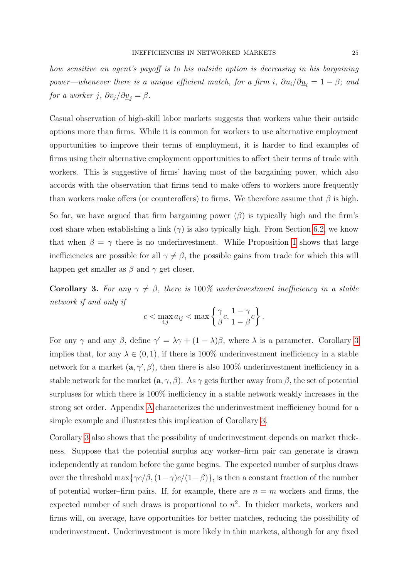how sensitive an agent's payoff is to his outside option is decreasing in his bargaining power—whenever there is a unique efficient match, for a firm i,  $\partial u_i/\partial \underline{u}_i = 1 - \beta$ ; and for a worker j,  $\partial v_j/\partial \underline{v}_j = \beta$ .

Casual observation of high-skill labor markets suggests that workers value their outside options more than firms. While it is common for workers to use alternative employment opportunities to improve their terms of employment, it is harder to find examples of firms using their alternative employment opportunities to affect their terms of trade with workers. This is suggestive of firms' having most of the bargaining power, which also accords with the observation that firms tend to make offers to workers more frequently than workers make offers (or counteroffers) to firms. We therefore assume that  $\beta$  is high.

So far, we have argued that firm bargaining power  $(\beta)$  is typically high and the firm's cost share when establishing a link  $(\gamma)$  is also typically high. From Section [6.2,](#page-20-1) we know that when  $\beta = \gamma$  there is no underinvestment. While Proposition [1](#page-18-0) shows that large inefficiencies are possible for all  $\gamma \neq \beta$ , the possible gains from trade for which this will happen get smaller as  $\beta$  and  $\gamma$  get closer.

<span id="page-24-0"></span>Corollary 3. For any  $\gamma \neq \beta$ , there is 100% underinvestment inefficiency in a stable network if and only if

$$
c < \max_{i,j} a_{ij} < \max\left\{\frac{\gamma}{\beta}c, \frac{1-\gamma}{1-\beta}c\right\}.
$$

For any  $\gamma$  and any  $\beta$ , define  $\gamma' = \lambda \gamma + (1 - \lambda)\beta$ , where  $\lambda$  is a parameter. Corollary [3](#page-24-0) implies that, for any  $\lambda \in (0,1)$ , if there is 100% underinvestment inefficiency in a stable network for a market  $(\mathbf{a}, \gamma', \beta)$ , then there is also 100% underinvestment inefficiency in a stable network for the market  $(a, \gamma, \beta)$ . As  $\gamma$  gets further away from  $\beta$ , the set of potential surpluses for which there is 100% inefficiency in a stable network weakly increases in the strong set order. Appendix [A](#page-31-1) characterizes the underinvestment inefficiency bound for a simple example and illustrates this implication of Corollary [3.](#page-24-0)

Corollary [3](#page-24-0) also shows that the possibility of underinvestment depends on market thickness. Suppose that the potential surplus any worker–firm pair can generate is drawn independently at random before the game begins. The expected number of surplus draws over the threshold max $\{\gamma c/\beta,(1-\gamma)c/(1-\beta)\}\$ , is then a constant fraction of the number of potential worker–firm pairs. If, for example, there are  $n = m$  workers and firms, the expected number of such draws is proportional to  $n^2$ . In thicker markets, workers and firms will, on average, have opportunities for better matches, reducing the possibility of underinvestment. Underinvestment is more likely in thin markets, although for any fixed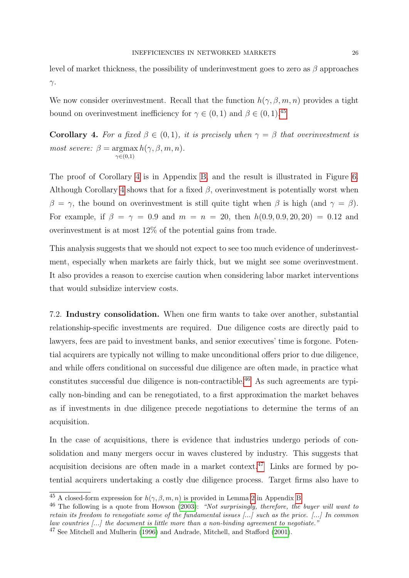level of market thickness, the possibility of underinvestment goes to zero as  $\beta$  approaches γ.

We now consider overinvestment. Recall that the function  $h(\gamma, \beta, m, n)$  provides a tight bound on overinvestment inefficiency for  $\gamma \in (0,1)$  and  $\beta \in (0,1)$ .<sup>[45](#page-25-0)</sup>

<span id="page-25-1"></span>Corollary 4. For a fixed  $\beta \in (0,1)$ , it is precisely when  $\gamma = \beta$  that overinvestment is most severe:  $\beta = \operatorname{argmax} h(\gamma, \beta, m, n)$ .  $\gamma \in (0,1)$ 

The proof of Corollary [4](#page-25-1) is in Appendix [B,](#page-31-0) and the result is illustrated in Figure [6.](#page-19-0) Although Corollary [4](#page-25-1) shows that for a fixed  $\beta$ , overinvestment is potentially worst when  $\beta = \gamma$ , the bound on overinvestment is still quite tight when  $\beta$  is high (and  $\gamma = \beta$ ). For example, if  $\beta = \gamma = 0.9$  and  $m = n = 20$ , then  $h(0.9, 0.9, 20, 20) = 0.12$  and overinvestment is at most 12% of the potential gains from trade.

This analysis suggests that we should not expect to see too much evidence of underinvestment, especially when markets are fairly thick, but we might see some overinvestment. It also provides a reason to exercise caution when considering labor market interventions that would subsidize interview costs.

7.2. Industry consolidation. When one firm wants to take over another, substantial relationship-specific investments are required. Due diligence costs are directly paid to lawyers, fees are paid to investment banks, and senior executives' time is forgone. Potential acquirers are typically not willing to make unconditional offers prior to due diligence, and while offers conditional on successful due diligence are often made, in practice what constitutes successful due diligence is non-contractible.<sup>[46](#page-25-2)</sup> As such agreements are typically non-binding and can be renegotiated, to a first approximation the market behaves as if investments in due diligence precede negotiations to determine the terms of an acquisition.

In the case of acquisitions, there is evidence that industries undergo periods of consolidation and many mergers occur in waves clustered by industry. This suggests that acquisition decisions are often made in a market context.<sup>[47](#page-25-3)</sup> Links are formed by potential acquirers undertaking a costly due diligence process. Target firms also have to

<span id="page-25-0"></span><sup>&</sup>lt;sup>45</sup> A closed-form expression for  $h(\gamma, \beta, m, n)$  is provided in Lemma [2](#page-34-0) in Appendix [B.](#page-31-0)

<span id="page-25-2"></span><sup>&</sup>lt;sup>46</sup> The following is a quote from Howson [\(2003\)](#page-42-13): "Not surprisingly, therefore, the buyer will want to retain its freedom to renegotiate some of the fundamental issues [...] such as the price. [...] In common law countries [...] the document is little more than a non-binding agreement to negotiate.'

<span id="page-25-3"></span><sup>47</sup> See Mitchell and Mulherin [\(1996\)](#page-43-12) and Andrade, Mitchell, and Stafford [\(2001\)](#page-41-15).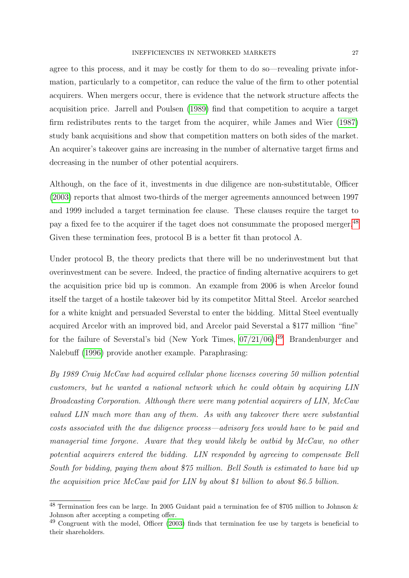agree to this process, and it may be costly for them to do so—revealing private information, particularly to a competitor, can reduce the value of the firm to other potential acquirers. When mergers occur, there is evidence that the network structure affects the acquisition price. Jarrell and Poulsen [\(1989\)](#page-42-14) find that competition to acquire a target firm redistributes rents to the target from the acquirer, while James and Wier [\(1987\)](#page-42-15) study bank acquisitions and show that competition matters on both sides of the market. An acquirer's takeover gains are increasing in the number of alternative target firms and decreasing in the number of other potential acquirers.

Although, on the face of it, investments in due diligence are non-substitutable, Officer [\(2003\)](#page-43-13) reports that almost two-thirds of the merger agreements announced between 1997 and 1999 included a target termination fee clause. These clauses require the target to pay a fixed fee to the acquirer if the taget does not consummate the proposed merger.<sup>[48](#page-26-0)</sup> Given these termination fees, protocol B is a better fit than protocol A.

Under protocol B, the theory predicts that there will be no underinvestment but that overinvestment can be severe. Indeed, the practice of finding alternative acquirers to get the acquisition price bid up is common. An example from 2006 is when Arcelor found itself the target of a hostile takeover bid by its competitor Mittal Steel. Arcelor searched for a white knight and persuaded Severstal to enter the bidding. Mittal Steel eventually acquired Arcelor with an improved bid, and Arcelor paid Severstal a \$177 million "fine" for the failure of Severstal's bid (New York Times, [07/21/06\)](#page-43-14).[49](#page-26-1) Brandenburger and Nalebuff [\(1996\)](#page-41-16) provide another example. Paraphrasing:

By 1989 Craig McCaw had acquired cellular phone licenses covering 50 million potential customers, but he wanted a national network which he could obtain by acquiring LIN Broadcasting Corporation. Although there were many potential acquirers of LIN, McCaw valued LIN much more than any of them. As with any takeover there were substantial costs associated with the due diligence process—advisory fees would have to be paid and managerial time forgone. Aware that they would likely be outbid by McCaw, no other potential acquirers entered the bidding. LIN responded by agreeing to compensate Bell South for bidding, paying them about \$75 million. Bell South is estimated to have bid up the acquisition price McCaw paid for LIN by about \$1 billion to about \$6.5 billion.

<span id="page-26-0"></span><sup>48</sup> Termination fees can be large. In 2005 Guidant paid a termination fee of \$705 million to Johnson & Johnson after accepting a competing offer.

<span id="page-26-1"></span><sup>49</sup> Congruent with the model, Officer [\(2003\)](#page-43-13) finds that termination fee use by targets is beneficial to their shareholders.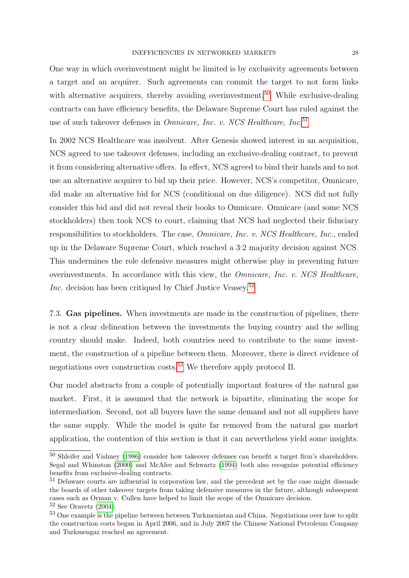One way in which overinvestment might be limited is by exclusivity agreements between a target and an acquirer. Such agreements can commit the target to not form links with alternative acquirers, thereby avoiding overinvestment.<sup>[50](#page-27-0)</sup> While exclusive-dealing contracts can have efficiency benefits, the Delaware Supreme Court has ruled against the use of such takeover defenses in *Omnicare*, *Inc. v. NCS Healthcare*, *Inc.*<sup>[51](#page-27-1)</sup>

In 2002 NCS Healthcare was insolvent. After Genesis showed interest in an acquisition, NCS agreed to use takeover defenses, including an exclusive-dealing contract, to prevent it from considering alternative offers. In effect, NCS agreed to bind their hands and to not use an alternative acquirer to bid up their price. However, NCS's competitor, Omnicare, did make an alternative bid for NCS (conditional on due diligence). NCS did not fully consider this bid and did not reveal their books to Omnicare. Omnicare (and some NCS stockholders) then took NCS to court, claiming that NCS had neglected their fiduciary responsibilities to stockholders. The case, Omnicare, Inc. v. NCS Healthcare, Inc., ended up in the Delaware Supreme Court, which reached a 3:2 majority decision against NCS. This undermines the role defensive measures might otherwise play in preventing future overinvestments. In accordance with this view, the Omnicare, Inc. v. NCS Healthcare, Inc. decision has been critiqued by Chief Justice Veasey.<sup>[52](#page-27-2)</sup>

7.3. Gas pipelines. When investments are made in the construction of pipelines, there is not a clear delineation between the investments the buying country and the selling country should make. Indeed, both countries need to contribute to the same investment, the construction of a pipeline between them. Moreover, there is direct evidence of negotiations over construction costs.[53](#page-27-3) We therefore apply protocol B.

Our model abstracts from a couple of potentially important features of the natural gas market. First, it is assumed that the network is bipartite, eliminating the scope for intermediation. Second, not all buyers have the same demand and not all suppliers have the same supply. While the model is quite far removed from the natural gas market application, the contention of this section is that it can nevertheless yield some insights.

<span id="page-27-0"></span><sup>50</sup> Shleifer and Vishney [\(1986\)](#page-44-4) consider how takeover defenses can benefit a target firm's shareholders. Segal and Whinston [\(2000\)](#page-44-5) and McAfee and Schwartz [\(1994\)](#page-43-15) both also recognize potential efficiency benefits from exclusive-dealing contracts.

<span id="page-27-1"></span><sup>&</sup>lt;sup>51</sup> Delaware courts are influential in corporation law, and the precedent set by the case might dissuade the boards of other takeover targets from taking defensive measures in the future, although subsequent cases such as Orman v. Cullen have helped to limit the scope of the Omnicare decision.  $52$  See Oravetz [\(2004\)](#page-43-16).

<span id="page-27-3"></span><span id="page-27-2"></span><sup>&</sup>lt;sup>53</sup> One example is the pipeline between between Turkmenistan and China. Negotiations over how to split the construction costs began in April 2006, and in July 2007 the Chinese National Petroleum Company and Turkmengaz reached an agreement.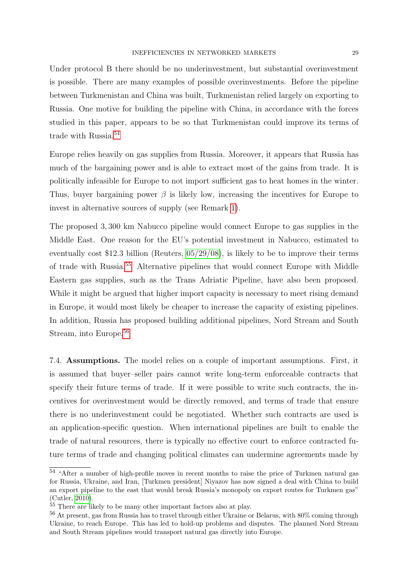Under protocol B there should be no underinvestment, but substantial overinvestment is possible. There are many examples of possible overinvestments. Before the pipeline between Turkmenistan and China was built, Turkmenistan relied largely on exporting to Russia. One motive for building the pipeline with China, in accordance with the forces studied in this paper, appears to be so that Turkmenistan could improve its terms of trade with Russia.<sup>[54](#page-28-1)</sup>

Europe relies heavily on gas supplies from Russia. Moreover, it appears that Russia has much of the bargaining power and is able to extract most of the gains from trade. It is politically infeasible for Europe to not import sufficient gas to heat homes in the winter. Thus, buyer bargaining power  $\beta$  is likely low, increasing the incentives for Europe to invest in alternative sources of supply (see Remark [1\)](#page-23-3).

The proposed 3, 300 km Nabucco pipeline would connect Europe to gas supplies in the Middle East. One reason for the EU's potential investment in Nabucco, estimated to eventually cost \$12.3 billion (Reuters, [05/29/08\)](#page-44-6), is likely to be to improve their terms of trade with Russia.[55](#page-28-2) Alternative pipelines that would connect Europe with Middle Eastern gas supplies, such as the Trans Adriatic Pipeline, have also been proposed. While it might be argued that higher import capacity is necessary to meet rising demand in Europe, it would most likely be cheaper to increase the capacity of existing pipelines. In addition, Russia has proposed building additional pipelines, Nord Stream and South Stream, into Europe.[56](#page-28-3)

<span id="page-28-0"></span>7.4. Assumptions. The model relies on a couple of important assumptions. First, it is assumed that buyer–seller pairs cannot write long-term enforceable contracts that specify their future terms of trade. If it were possible to write such contracts, the incentives for overinvestment would be directly removed, and terms of trade that ensure there is no underinvestment could be negotiated. Whether such contracts are used is an application-specific question. When international pipelines are built to enable the trade of natural resources, there is typically no effective court to enforce contracted future terms of trade and changing political climates can undermine agreements made by

<span id="page-28-1"></span><sup>&</sup>lt;sup>54</sup> "After a number of high-profile moves in recent months to raise the price of Turkmen natural gas for Russia, Ukraine, and Iran, [Turkmen president] Niyazov has now signed a deal with China to build an export pipeline to the east that would break Russia's monopoly on export routes for Turkmen gas" (Cutler, [2010\)](#page-41-17).

<span id="page-28-2"></span><sup>&</sup>lt;sup>55</sup> There are likely to be many other important factors also at play.

<span id="page-28-3"></span><sup>56</sup> At present, gas from Russia has to travel through either Ukraine or Belarus, with 80% coming through Ukraine, to reach Europe. This has led to hold-up problems and disputes. The planned Nord Stream and South Stream pipelines would transport natural gas directly into Europe.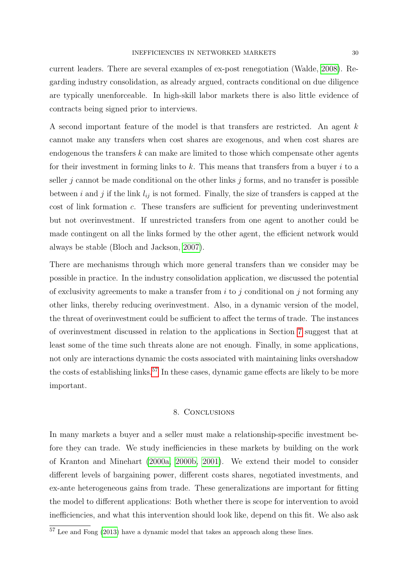current leaders. There are several examples of ex-post renegotiation (Walde, [2008\)](#page-44-7). Regarding industry consolidation, as already argued, contracts conditional on due diligence are typically unenforceable. In high-skill labor markets there is also little evidence of contracts being signed prior to interviews.

A second important feature of the model is that transfers are restricted. An agent k cannot make any transfers when cost shares are exogenous, and when cost shares are endogenous the transfers  $k$  can make are limited to those which compensate other agents for their investment in forming links to k. This means that transfers from a buyer  $i$  to a seller  $j$  cannot be made conditional on the other links  $j$  forms, and no transfer is possible between i and j if the link  $l_{ij}$  is not formed. Finally, the size of transfers is capped at the cost of link formation c. These transfers are sufficient for preventing underinvestment but not overinvestment. If unrestricted transfers from one agent to another could be made contingent on all the links formed by the other agent, the efficient network would always be stable (Bloch and Jackson, [2007\)](#page-41-18).

There are mechanisms through which more general transfers than we consider may be possible in practice. In the industry consolidation application, we discussed the potential of exclusivity agreements to make a transfer from  $i$  to  $j$  conditional on  $j$  not forming any other links, thereby reducing overinvestment. Also, in a dynamic version of the model, the threat of overinvestment could be sufficient to affect the terms of trade. The instances of overinvestment discussed in relation to the applications in Section [7](#page-23-0) suggest that at least some of the time such threats alone are not enough. Finally, in some applications, not only are interactions dynamic the costs associated with maintaining links overshadow the costs of establishing links.<sup>[57](#page-29-1)</sup> In these cases, dynamic game effects are likely to be more important.

## 8. Conclusions

<span id="page-29-0"></span>In many markets a buyer and a seller must make a relationship-specific investment before they can trade. We study inefficiencies in these markets by building on the work of Kranton and Minehart [\(2000a,](#page-43-1) [2000b,](#page-43-7) [2001\)](#page-43-6). We extend their model to consider different levels of bargaining power, different costs shares, negotiated investments, and ex-ante heterogeneous gains from trade. These generalizations are important for fitting the model to different applications: Both whether there is scope for intervention to avoid inefficiencies, and what this intervention should look like, depend on this fit. We also ask

<span id="page-29-1"></span><sup>57</sup> Lee and Fong [\(2013\)](#page-43-8) have a dynamic model that takes an approach along these lines.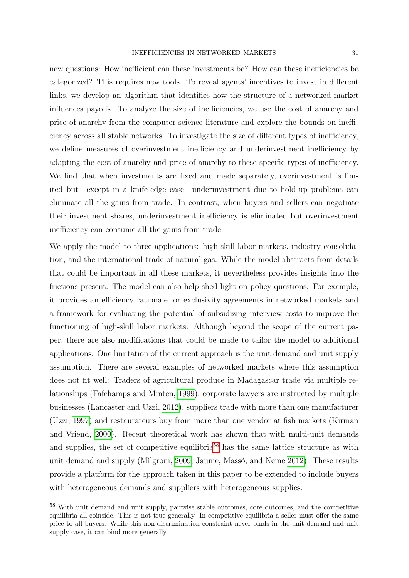new questions: How inefficient can these investments be? How can these inefficiencies be categorized? This requires new tools. To reveal agents' incentives to invest in different links, we develop an algorithm that identifies how the structure of a networked market influences payoffs. To analyze the size of inefficiencies, we use the cost of anarchy and price of anarchy from the computer science literature and explore the bounds on inefficiency across all stable networks. To investigate the size of different types of inefficiency, we define measures of overinvestment inefficiency and underinvestment inefficiency by adapting the cost of anarchy and price of anarchy to these specific types of inefficiency. We find that when investments are fixed and made separately, overinvestment is limited but—except in a knife-edge case—underinvestment due to hold-up problems can eliminate all the gains from trade. In contrast, when buyers and sellers can negotiate their investment shares, underinvestment inefficiency is eliminated but overinvestment inefficiency can consume all the gains from trade.

We apply the model to three applications: high-skill labor markets, industry consolidation, and the international trade of natural gas. While the model abstracts from details that could be important in all these markets, it nevertheless provides insights into the frictions present. The model can also help shed light on policy questions. For example, it provides an efficiency rationale for exclusivity agreements in networked markets and a framework for evaluating the potential of subsidizing interview costs to improve the functioning of high-skill labor markets. Although beyond the scope of the current paper, there are also modifications that could be made to tailor the model to additional applications. One limitation of the current approach is the unit demand and unit supply assumption. There are several examples of networked markets where this assumption does not fit well: Traders of agricultural produce in Madagascar trade via multiple relationships (Fafchamps and Minten, [1999\)](#page-42-16), corporate lawyers are instructed by multiple businesses (Lancaster and Uzzi, [2012\)](#page-43-17), suppliers trade with more than one manufacturer (Uzzi, [1997\)](#page-44-8) and restaurateurs buy from more than one vendor at fish markets (Kirman and Vriend, [2000\)](#page-42-17). Recent theoretical work has shown that with multi-unit demands and supplies, the set of competitive equilibria<sup>[58](#page-30-0)</sup> has the same lattice structure as with unit demand and supply (Milgrom, [2009;](#page-43-18) Jaume, Massó, and Neme [2012\)](#page-42-18). These results provide a platform for the approach taken in this paper to be extended to include buyers with heterogeneous demands and suppliers with heterogeneous supplies.

<span id="page-30-0"></span><sup>58</sup> With unit demand and unit supply, pairwise stable outcomes, core outcomes, and the competitive equilibria all coinside. This is not true generally. In competitive equilibria a seller must offer the same price to all buyers. While this non-discrimination constraint never binds in the unit demand and unit supply case, it can bind more generally.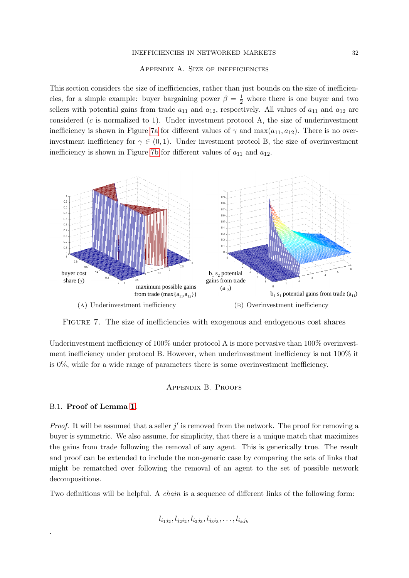#### Appendix A. Size of inefficiencies

<span id="page-31-1"></span>This section considers the size of inefficiencies, rather than just bounds on the size of inefficiencies, for a simple example: buyer bargaining power  $\beta = \frac{1}{2}$  where there is one buyer and two sellers with potential gains from trade  $a_{11}$  and  $a_{12}$ , respectively. All values of  $a_{11}$  and  $a_{12}$  are considered (c is normalized to 1). Under investment protocol A, the size of underinvestment inefficiency is shown in Figure [7a](#page-31-2) for different values of  $\gamma$  and  $\max(a_{11}, a_{12})$ . There is no overinvestment inefficiency for  $\gamma \in (0,1)$ . Under investment protcol B, the size of overinvestment inefficiency is shown in Figure [7b](#page-31-3) for different values of  $a_{11}$  and  $a_{12}$ .

<span id="page-31-2"></span>

Figure 7. The size of inefficiencies with exogenous and endogenous cost shares

Underinvestment inefficiency of  $100\%$  under protocol A is more pervasive than  $100\%$  overinvestment inefficiency under protocol B. However, when underinvestment inefficiency is not 100% it is  $0\%$ , while for a wide range of parameters there is some overinvestment inefficiency.

#### <span id="page-31-3"></span>Appendix B. Proofs

### <span id="page-31-0"></span>B.1. Proof of Lemma [1.](#page-11-0)

.

*Proof.* It will be assumed that a seller  $j'$  is removed from the network. The proof for removing a buyer is symmetric. We also assume, for simplicity, that there is a unique match that maximizes the gains from trade following the removal of any agent. This is generically true. The result and proof can be extended to include the non-generic case by comparing the sets of links that might be rematched over following the removal of an agent to the set of possible network decompositions.

Two definitions will be helpful. A *chain* is a sequence of different links of the following form:

$$
l_{i_1j_2}, l_{j_2i_2}, l_{i_2j_3}, l_{j_3i_3}, \ldots, l_{i_kj_k}
$$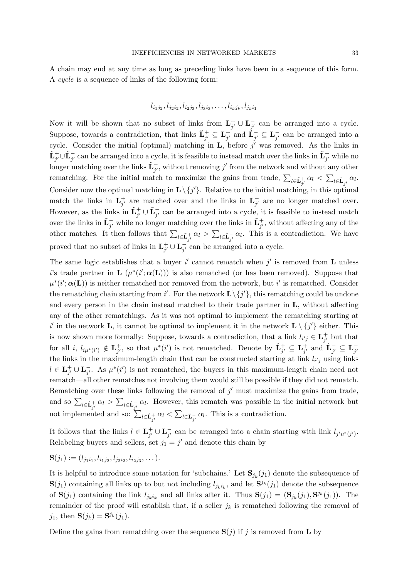A chain may end at any time as long as preceding links have been in a sequence of this form. A cycle is a sequence of links of the following form:

# $l_{i_1j_2}, l_{j_2i_2}, l_{i_2j_3}, l_{j_3i_3}, \ldots, l_{i_kj_k}, l_{j_ki_1}$

Now it will be shown that no subset of links from  $\mathbf{L}_{i'}^+$  $_{j'}^+ \cup \mathbf{L}_{j'}^ \bar{j'}$  can be arranged into a cycle. Suppose, towards a contradiction, that links  $\tilde{\mathbf{L}}_{j'}^+ \subseteq \mathbf{L}_{j'}^+$  $j'$  and  $\tilde{\mathbf{L}}_{j'}^- \subseteq \mathbf{L}_{j'}^ \overline{j'}$  can be arranged into a cycle. Consider the initial (optimal) matching in  $\mathbf{L}$ , before j' was removed. As the links in  $\tilde{\bf L}_{j'}^+\cup\tilde{\bf L}_{j'}^-$  can be arranged into a cycle, it is feasible to instead match over the links in  $\tilde{\bf L}_{j'}^+$  while no longer matching over the links  $\tilde{\mathbf{L}}_{j'}^-,$  without removing j' from the network and without any other rematching. For the initial match to maximize the gains from trade,  $\sum_{l\in \tilde{\mathbf{L}}_{j'}^+} \alpha_l < \sum_{l\in \tilde{\mathbf{L}}_{j'}^-} \alpha_l$ . Consider now the optimal matching in  $\mathbf{L}\setminus\{j'\}$ . Relative to the initial matching, in this optimal match the links in  $\mathbf{L}_{i'}^+$ <sup>+</sup> are matched over and the links in  $\mathbf{L}_{j'}^ \overline{j'}$  are no longer matched over. However, as the links in  $\tilde{\mathbf{L}}_{j'}^+ \cup \tilde{\mathbf{L}}_{j'}^-$  can be arranged into a cycle, it is feasible to instead match over the links in  $\tilde{\mathbf{L}}_{j'}^-$  while no longer matching over the links in  $\tilde{\mathbf{L}}_{j'}^+$ , without affecting any of the other matches. It then follows that  $\sum_{l \in \tilde{\mathbf{L}}_{j'}^+} \alpha_l > \sum_{l \in \tilde{\mathbf{L}}_{j'}^-} \alpha_l$ . This is a contradiction. We have proved that no subset of links in  $\mathbf{L}_{i'}^+$  $_{j'}^+ \cup \mathbf{L}_{j'}^ _{j'}^-$  can be arranged into a cycle.

The same logic establishes that a buyer  $i'$  cannot rematch when  $j'$  is removed from **L** unless i's trade partner in **L**  $(\mu^*(i'; \alpha(L)))$  is also rematched (or has been removed). Suppose that  $\mu^*(i'; \alpha(\mathbf{L}))$  is neither rematched nor removed from the network, but i' is rematched. Consider the rematching chain starting from i'. For the network  $\mathbf{L}\setminus\{j'\}$ , this rematching could be undone and every person in the chain instead matched to their trade partner in L, without affecting any of the other rematchings. As it was not optimal to implement the rematching starting at i' in the network **L**, it cannot be optimal to implement it in the network  $\mathbf{L} \setminus \{j'\}$  either. This is now shown more formally: Suppose, towards a contradiction, that a link  $l_{i'j} \in L_{i'}^+$  $j'$  but that for all i,  $l_{i\mu^*(i')} \notin L^+_{i'}$ <sup>+</sup><sub>j'</sub>, so that  $\mu^*(i')$  is not rematched. Denote by  $\hat{\mathbf{L}}_{j'}^+ \subseteq \mathbf{L}_{j'}^+$  $_{j'}^+$  and  $\hat{\mathbf{L}}_{j'}^- \subseteq \mathbf{L}_{j'}^$  $j'$ the links in the maximum-length chain that can be constructed starting at link  $l_{i'j}$  using links  $l \in \mathbf{L}_{i'}^+$  $_{j'}^+ \cup \mathbf{L}_{j'}^ \bar{j}$ . As  $\mu^*(i')$  is not rematched, the buyers in this maximum-length chain need not rematch—all other rematches not involving them would still be possible if they did not rematch. Rematching over these links following the removal of  $j'$  must maximize the gains from trade, and so  $\sum_{l\in \hat{\mathbf{L}}_{j'}^{+}}\alpha_l > \sum_{l\in \hat{\mathbf{L}}_{j'}^{-}}\alpha_l$ . However, this rematch was possible in the initial network but not implemented and so:  $\sum_{l \in \hat{\mathbf{L}}_{j'}} \alpha_l < \sum_{l \in \hat{\mathbf{L}}_{j'}^-} \alpha_l$ . This is a contradiction.

It follows that the links  $l \in \mathbf{L}_{i'}^{+}$  $_{j'}^+ \cup \mathbf{L}_{j'}^ _{j'}^-$  can be arranged into a chain starting with link  $l_{j'\mu^*(j')}$ . Relabeling buyers and sellers, set  $j_1 = j'$  and denote this chain by

$$
\mathbf{S}(j_1) := (l_{j_1i_1}, l_{i_1j_2}, l_{j_2i_2}, l_{i_2j_3}, \dots).
$$

It is helpful to introduce some notation for 'subchains.' Let  $S_{j_k}(j_1)$  denote the subsequence of  $\mathbf{S}(j_1)$  containing all links up to but not including  $l_{j_k i_k}$ , and let  $\mathbf{S}^{j_k}(j_1)$  denote the subsequence of  $S(j_1)$  containing the link  $l_{j_k i_k}$  and all links after it. Thus  $S(j_1) = (S_{j_k}(j_1), S^{j_k}(j_1))$ . The remainder of the proof will establish that, if a seller  $j_k$  is rematched following the removal of  $j_1$ , then  $S(j_k) = S^{j_k}(j_1)$ .

Define the gains from rematching over the sequence  $S(j)$  if j is removed from L by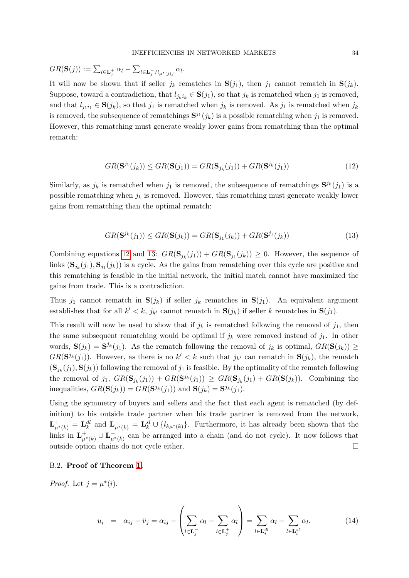.

$$
GR(\mathbf{S}(j)) := \sum_{l \in \mathbf{L}_j^+} \alpha_l - \sum_{l \in \mathbf{L}_j^- / l_{\mu^*(j)j}} \alpha_l
$$

It will now be shown that if seller  $j_k$  rematches in  $S(j_1)$ , then  $j_1$  cannot rematch in  $S(j_k)$ . Suppose, toward a contradiction, that  $l_{j_k i_k} \in \mathbf{S}(j_1)$ , so that  $j_k$  is rematched when  $j_1$  is removed, and that  $l_{j_1i_1} \in \mathbf{S}(j_k)$ , so that  $j_1$  is rematched when  $j_k$  is removed. As  $j_1$  is rematched when  $j_k$ is removed, the subsequence of rematchings  $S^{j_1}(j_k)$  is a possible rematching when  $j_1$  is removed. However, this rematching must generate weakly lower gains from rematching than the optimal rematch:

<span id="page-33-0"></span>
$$
GR(\mathbf{S}^{j_1}(j_k)) \le GR(\mathbf{S}(j_1)) = GR(\mathbf{S}_{j_k}(j_1)) + GR(\mathbf{S}^{j_k}(j_1))
$$
\n(12)

Similarly, as  $j_k$  is rematched when  $j_1$  is removed, the subsequence of rematchings  $S^{j_k}(j_1)$  is a possible rematching when  $j_k$  is removed. However, this rematching must generate weakly lower gains from rematching than the optimal rematch:

<span id="page-33-1"></span>
$$
GR(\mathbf{S}^{j_k}(j_1)) \le GR(\mathbf{S}(j_k)) = GR(\mathbf{S}_{j_1}(j_k)) + GR(\mathbf{S}^{j_1}(j_k))
$$
\n(13)

Combining equations [12](#page-33-0) and [13:](#page-33-1)  $GR(\mathbf{S}_{j_k}(j_1)) + GR(\mathbf{S}_{j_1}(j_k)) \geq 0$ . However, the sequence of links  $(\mathbf{S}_{j_k}(j_1), \mathbf{S}_{j_1}(j_k))$  is a cycle. As the gains from rematching over this cycle are positive and this rematching is feasible in the initial network, the initial match cannot have maximized the gains from trade. This is a contradiction.

Thus  $j_1$  cannot rematch in  $S(j_k)$  if seller  $j_k$  rematches in  $S(j_1)$ . An equivalent argument establishes that for all  $k' < k$ ,  $j_{k'}$  cannot rematch in  $S(j_k)$  if seller k rematches in  $S(j_1)$ .

This result will now be used to show that if  $j_k$  is rematched following the removal of  $j_1$ , then the same subsequent rematching would be optimal if  $j_k$  were removed instead of  $j_1$ . In other words,  $\mathbf{S}(j_k) = \mathbf{S}^{j_k}(j_1)$ . As the rematch following the removal of  $j_k$  is optimal,  $GR(\mathbf{S}(j_k)) \geq$  $GR(\mathbf{S}^{j_k}(j_1))$ . However, as there is no  $k' < k$  such that  $j_{k'}$  can rematch in  $\mathbf{S}(j_k)$ , the rematch  $(\mathbf{S}_{j_k}(j_1), \mathbf{S}(j_k))$  following the removal of  $j_1$  is feasible. By the optimality of the rematch following the removal of  $j_1$ ,  $GR(\mathbf{S}_{j_k}(j_1)) + GR(\mathbf{S}^{j_k}(j_1)) \geq GR(\mathbf{S}_{j_k}(j_1) + GR(\mathbf{S}(j_k))$ . Combining the inequalities,  $GR(\mathbf{S}(j_k)) = GR(\mathbf{S}^{j_k}(j_1))$  and  $\mathbf{S}(j_k) = \mathbf{S}^{j_k}(j_1)$ .

Using the symmetry of buyers and sellers and the fact that each agent is rematched (by definition) to his outside trade partner when his trade partner is removed from the network,  $\mathbf{L}_{\mu^*(k)}^+ = \mathbf{L}_{k}^{dl}$  and  $\mathbf{L}_{\mu^*(k)}^- = \mathbf{L}_{k}^{sl} \cup \{l_{k\mu^*(k)}\}.$  Furthermore, it has already been shown that the links in  ${\bf L}^+_{\mu^*(k)} \cup {\bf L}^-_{\mu^*(k)}$  can be arranged into a chain (and do not cycle). It now follows that outside option chains do not cycle either.

## B.2. Proof of Theorem [1.](#page-12-0)

Proof. Let  $j = \mu^*(i)$ .

<span id="page-33-2"></span>
$$
\underline{u}_i = \alpha_{ij} - \overline{v}_j = \alpha_{ij} - \left(\sum_{l \in \mathbf{L}_j^-} \alpha_l - \sum_{l \in \mathbf{L}_j^+} \alpha_l\right) = \sum_{l \in \mathbf{L}_i^{dl}} \alpha_l - \sum_{l \in \mathbf{L}_i^{sl}} \alpha_l.
$$
\n(14)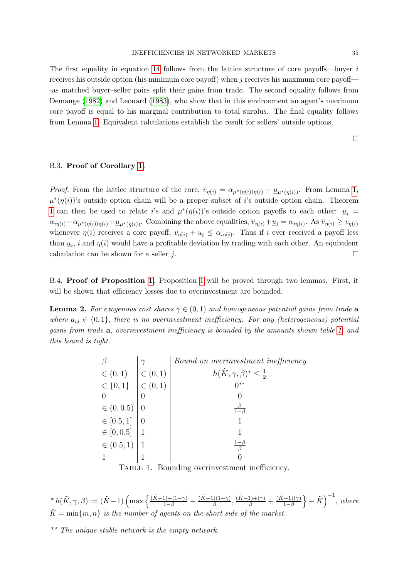The first equality in equation [14](#page-33-2) follows from the lattice structure of core payoffs—buyer  $i$ receives his outside option (his minimum core payoff) when  $j$  receives his maximum core payoff— -as matched buyer–seller pairs split their gains from trade. The second equality follows from Demange [\(1982\)](#page-41-11) and Leonard [\(1983\)](#page-43-10), who show that in this environment an agent's maximum core payoff is equal to his marginal contribution to total surplus. The final equality follows from Lemma [1.](#page-11-0) Equivalent calculations establish the result for sellers' outside options.

 $\Box$ 

### B.3. Proof of Corollary [1.](#page-13-3)

*Proof.* From the lattice structure of the core,  $\overline{v}_{\eta(i)} = \alpha_{\mu^*(\eta(i))\eta(i)} - \underline{u}_{\mu^*(\eta(i))}$ . From Lemma [1,](#page-11-0)  $\mu^*(\eta(i))$ 's outside option chain will be a proper subset of *i*'s outside option chain. Theorem [1](#page-12-0) can then be used to relate i's and  $\mu^*(\eta(i))$ 's outside option payoffs to each other:  $\underline{u}_i =$  $\alpha_{i\eta(i)} - \alpha_{\mu^*(\eta(i))\eta(i)} + \underline{u}_{\mu^*(\eta(i))}$ . Combining the above equalities,  $\overline{v}_{\eta(i)} + \underline{u}_i = \alpha_{i\eta(i)}$ . As  $\overline{v}_{\eta(i)} \ge v_{\eta(i)}$ whenever  $\eta(i)$  receives a core payoff,  $v_{\eta(i)} + \underline{u_i} \leq \alpha_{i\eta(i)}$ . Thus if i ever received a payoff less than  $\underline{u}_i$ , i and  $\eta(i)$  would have a profitable deviation by trading with each other. An equivalent calculation can be shown for a seller j.

B.4. Proof of Proposition [1.](#page-18-0) Proposition [1](#page-18-0) will be proved through two lemmas. First, it will be shown that efficiency losses due to overinvestment are bounded.

<span id="page-34-1"></span><span id="page-34-0"></span>**Lemma 2.** For exogenous cost shares  $\gamma \in (0,1)$  and homogeneous potential gains from trade a where  $a_{ij} \in \{0,1\}$ , there is no overinvestment inefficiency. For any (heterogeneous) potential gains from trade a, overinvestment inefficiency is bounded by the amounts shown table [1,](#page-34-1) and this bound is tight.

|                                                |                  | Bound on overinvestment inefficiency             |
|------------------------------------------------|------------------|--------------------------------------------------|
| $\in (0,1)$ $\in (0,1)$                        |                  | $h(\tilde{K}, \gamma, \beta)^* \leq \frac{1}{2}$ |
| $\in \{0,1\}$ $\in (0,1)$                      |                  | ∩**                                              |
|                                                | $\left( \right)$ |                                                  |
| $\in (0, 0.5)$                                 |                  | $rac{\beta}{1-\beta}$                            |
| $\in [0.5, 1] \mid 0$                          |                  |                                                  |
| $\in [0, 0.5]$   1                             |                  |                                                  |
| $\in (0.5, 1)$   1                             |                  | $rac{1-\beta}{\beta}$                            |
|                                                |                  |                                                  |
| TABLE 1. Bounding overinvestment inefficiency. |                  |                                                  |

 $* h(\tilde{K}, \gamma, \beta) := (\tilde{K}-1) \left( \max \left\{ \frac{(\tilde{K}-1)+(1-\gamma)}{1-\beta} + \frac{(\tilde{K}-1)(1-\gamma)}{\beta} \right\} \right)$  $\frac{\left(\tilde{K}-1\right)+\left(\gamma\right)}{\beta}+\frac{\left(\tilde{K}-1\right)\left(\gamma\right)}{1-\beta}$  $\left\{\frac{-1\left(\gamma\right)}{1-\beta}\right\}-\tilde{K}\right)^{-1},\ where% \left\{ \gamma_{1},\gamma_{2},\gamma_{1}\right\} =\tilde{K}\left\} =\tilde{K}\right\} . \label{eq-11}$  $\tilde{K} = \min\{m, n\}$  is the number of agents on the short side of the market.

\*\* The unique stable network is the empty network.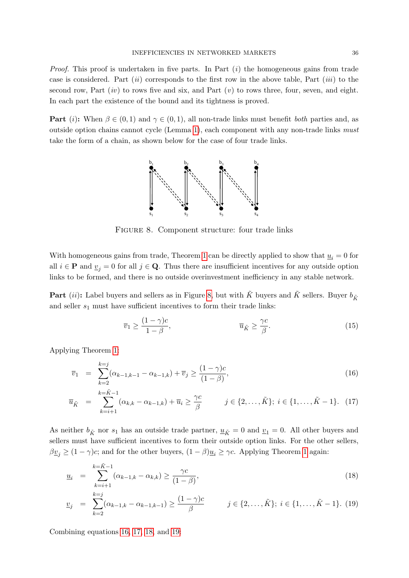*Proof.* This proof is undertaken in five parts. In Part  $(i)$  the homogeneous gains from trade case is considered. Part  $(ii)$  corresponds to the first row in the above table, Part  $(iii)$  to the second row, Part  $(iv)$  to rows five and six, and Part  $(v)$  to rows three, four, seven, and eight. In each part the existence of the bound and its tightness is proved.

<span id="page-35-0"></span>**Part** (i): When  $\beta \in (0,1)$  and  $\gamma \in (0,1)$ , all non-trade links must benefit *both* parties and, as outside option chains cannot cycle (Lemma [1\)](#page-11-0), each component with any non-trade links must take the form of a chain, as shown below for the case of four trade links.



Figure 8. Component structure: four trade links

With homogeneous gains from trade, Theorem [1](#page-12-0) can be directly applied to show that  $u_i = 0$  for all  $i \in \mathbf{P}$  and  $\underline{v}_i = 0$  for all  $j \in \mathbf{Q}$ . Thus there are insufficient incentives for any outside option links to be formed, and there is no outside overinvestment inefficiency in any stable network.

**Part** (ii): Label buyers and sellers as in Figure [8,](#page-35-0) but with  $\tilde{K}$  buyers and  $\tilde{K}$  sellers. Buyer  $b_{\tilde{K}}$ and seller  $s_1$  must have sufficient incentives to form their trade links:

<span id="page-35-3"></span>
$$
\overline{v}_1 \ge \frac{(1-\gamma)c}{1-\beta}, \qquad \overline{u}_{\tilde{K}} \ge \frac{\gamma c}{\beta}.
$$
 (15)

Applying Theorem [1:](#page-12-0)

<span id="page-35-1"></span>
$$
\overline{v}_1 = \sum_{k=2}^{k=j} (\alpha_{k-1,k-1} - \alpha_{k-1,k}) + \overline{v}_j \ge \frac{(1-\gamma)c}{(1-\beta)},
$$
\n(16)

$$
\overline{u}_{\tilde{K}} = \sum_{k=i+1}^{k=\tilde{K}-1} (\alpha_{k,k} - \alpha_{k-1,k}) + \overline{u}_i \ge \frac{\gamma c}{\beta} \qquad j \in \{2, ..., \tilde{K}\}; i \in \{1, ..., \tilde{K}-1\}. \tag{17}
$$

As neither  $b_{\tilde{K}}$  nor  $s_1$  has an outside trade partner,  $\underline{u}_{\tilde{K}} = 0$  and  $\underline{v}_1 = 0$ . All other buyers and sellers must have sufficient incentives to form their outside option links. For the other sellers,  $\beta \underline{v}_j \geq (1 - \gamma)c$ ; and for the other buyers,  $(1 - \beta)\underline{u}_i \geq \gamma c$ . Applying Theorem [1](#page-12-0) again:

<span id="page-35-2"></span>
$$
\underline{u}_{i} = \sum_{k=i+1}^{k=\tilde{K}-1} (\alpha_{k-1,k} - \alpha_{k,k}) \ge \frac{\gamma c}{(1-\beta)},
$$
\n(18)

$$
\underline{v}_{j} = \sum_{k=2}^{k=j} (\alpha_{k-1,k} - \alpha_{k-1,k-1}) \ge \frac{(1-\gamma)c}{\beta} \qquad j \in \{2,\ldots,\tilde{K}\}; i \in \{1,\ldots,\tilde{K}-1\}. \tag{19}
$$

Combining equations [16, 17,](#page-35-1) [18,](#page-35-2) and [19:](#page-35-2)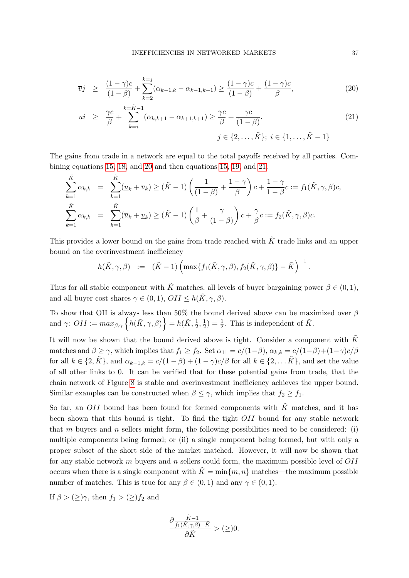<span id="page-36-0"></span>
$$
\overline{v}j \ge \frac{(1-\gamma)c}{(1-\beta)} + \sum_{k=2}^{k=j} (\alpha_{k-1,k} - \alpha_{k-1,k-1}) \ge \frac{(1-\gamma)c}{(1-\beta)} + \frac{(1-\gamma)c}{\beta}, \tag{20}
$$

$$
\overline{u}i \geq \frac{\gamma c}{\beta} + \sum_{k=i}^{k=\tilde{K}-1} (\alpha_{k,k+1} - \alpha_{k+1,k+1}) \geq \frac{\gamma c}{\beta} + \frac{\gamma c}{(1-\beta)}.
$$
\n
$$
j \in \{2, ..., \tilde{K}\}; \ i \in \{1, ..., \tilde{K}-1\}
$$
\n(21)

The gains from trade in a network are equal to the total payoffs received by all parties. Combining equations [15,](#page-35-3) [18,](#page-35-2) and [20](#page-36-0) and then equations [15,](#page-35-3) [19,](#page-35-2) and [21:](#page-36-0)

$$
\sum_{k=1}^{\tilde{K}} \alpha_{k,k} = \sum_{k=1}^{\tilde{K}} (\underline{u}_k + \overline{v}_k) \ge (\tilde{K} - 1) \left( \frac{1}{(1-\beta)} + \frac{1-\gamma}{\beta} \right) c + \frac{1-\gamma}{1-\beta} c := f_1(\tilde{K}, \gamma, \beta) c,
$$
\n
$$
\sum_{k=1}^{\tilde{K}} \alpha_{k,k} = \sum_{k=1}^{\tilde{K}} (\overline{u}_k + \underline{v}_k) \ge (\tilde{K} - 1) \left( \frac{1}{\beta} + \frac{\gamma}{(1-\beta)} \right) c + \frac{\gamma}{\beta} c := f_2(\tilde{K}, \gamma, \beta) c.
$$

This provides a lower bound on the gains from trade reached with  $\tilde{K}$  trade links and an upper bound on the overinvestment inefficiency

$$
h(\tilde{K}, \gamma, \beta) := (\tilde{K} - 1) \left( \max\{ f_1(\tilde{K}, \gamma, \beta), f_2(\tilde{K}, \gamma, \beta) \} - \tilde{K} \right)^{-1}.
$$

Thus for all stable component with  $\tilde{K}$  matches, all levels of buyer bargaining power  $\beta \in (0,1)$ , and all buyer cost shares  $\gamma \in (0,1)$ ,  $OII \leq h(\tilde{K}, \gamma, \beta)$ .

To show that OII is always less than 50% the bound derived above can be maximized over  $\beta$ and  $\gamma$ :  $\overline{OII} := max_{\beta,\gamma} \left\{ h(\tilde{K}, \gamma, \beta) \right\} = h(\tilde{K}, \frac{1}{2}, \frac{1}{2})$  $(\frac{1}{2}) = \frac{1}{2}$ . This is independent of  $\tilde{K}$ .

It will now be shown that the bound derived above is tight. Consider a component with  $\tilde{K}$ matches and  $\beta \geq \gamma$ , which implies that  $f_1 \geq f_2$ . Set  $\alpha_{11} = c/(1-\beta)$ ,  $\alpha_{k,k} = c/(1-\beta)+(1-\gamma)c/\beta$ for all  $k \in \{2, \tilde{K}\}\$ , and  $\alpha_{k-1,k} = c/(1-\beta) + (1-\gamma)c/\beta$  for all  $k \in \{2, \ldots \tilde{K}\}\$ , and set the value of all other links to 0. It can be verified that for these potential gains from trade, that the chain network of Figure [8](#page-35-0) is stable and overinvestment inefficiency achieves the upper bound. Similar examples can be constructed when  $\beta \leq \gamma$ , which implies that  $f_2 \geq f_1$ .

So far, an OII bound has been found for formed components with  $\tilde{K}$  matches, and it has been shown that this bound is tight. To find the tight OII bound for any stable network that m buyers and n sellers might form, the following possibilities need to be considered: (i) multiple components being formed; or (ii) a single component being formed, but with only a proper subset of the short side of the market matched. However, it will now be shown that for any stable network  $m$  buyers and  $n$  sellers could form, the maximum possible level of  $OII$ occurs when there is a single component with  $\tilde{K} = \min\{m, n\}$  matches—the maximum possible number of matches. This is true for any  $\beta \in (0,1)$  and any  $\gamma \in (0,1)$ .

If  $\beta > (\geq) \gamma$ , then  $f_1 > (\geq) f_2$  and

$$
\frac{\partial \frac{\tilde{K}-1}{f_1(\tilde{K},\gamma,\beta)-\tilde{K}}}{\partial \tilde{K}} > (\geq) 0.
$$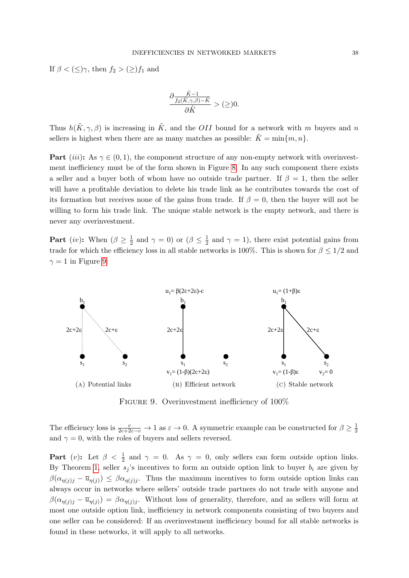If  $\beta < (\leq)\gamma$ , then  $f_2 > (\geq)f_1$  and

$$
\frac{\partial \frac{\tilde{K}-1}{f_2(\tilde{K},\gamma,\beta)-\tilde{K}}}{\partial \tilde{K}} > (\geq) 0.
$$

Thus  $h(\tilde{K}, \gamma, \beta)$  is increasing in  $\tilde{K}$ , and the *OII* bound for a network with m buyers and n sellers is highest when there are as many matches as possible:  $\tilde{K} = \min\{m, n\}.$ 

**Part** (*iii*): As  $\gamma \in (0, 1)$ , the component structure of any non-empty network with overinvestment inefficiency must be of the form shown in Figure [8.](#page-35-0) In any such component there exists a seller and a buyer both of whom have no outside trade partner. If  $\beta = 1$ , then the seller will have a profitable deviation to delete his trade link as he contributes towards the cost of its formation but receives none of the gains from trade. If  $\beta = 0$ , then the buyer will not be willing to form his trade link. The unique stable network is the empty network, and there is never any overinvestment.

**Part** (*iv*): When  $(\beta \geq \frac{1}{2})$  $\frac{1}{2}$  and  $\gamma = 0$ ) or  $(\beta \leq \frac{1}{2})$  $\frac{1}{2}$  and  $\gamma = 1$ , there exist potential gains from trade for which the efficiency loss in all stable networks is 100%. This is shown for  $\beta \leq 1/2$  and  $\gamma = 1$  in Figure [9:](#page-37-0)

<span id="page-37-0"></span>

FIGURE 9. Overinvestment inefficiency of  $100\%$ 

The efficiency loss is  $\frac{c}{2c+2\varepsilon-c} \to 1$  as  $\varepsilon \to 0$ . A symmetric example can be constructed for  $\beta \geq \frac{1}{2}$  $\overline{2}$ and  $\gamma = 0$ , with the roles of buyers and sellers reversed.

**Part** (v): Let  $\beta < \frac{1}{2}$  and  $\gamma = 0$ . As  $\gamma = 0$ , only sellers can form outside option links. By Theorem [1,](#page-12-0) seller  $s_j$ 's incentives to form an outside option link to buyer  $b_i$  are given by  $\beta(\alpha_{\eta(j)j}-\overline{u}_{\eta(j)}) \leq \beta \alpha_{\eta(j)j}$ . Thus the maximum incentives to form outside option links can always occur in networks where sellers' outside trade partners do not trade with anyone and  $\beta(\alpha_{\eta(j)j}-\overline{u}_{\eta(j)})=\beta\alpha_{\eta(j)j}$ . Without loss of generality, therefore, and as sellers will form at most one outside option link, inefficiency in network components consisting of two buyers and one seller can be considered: If an overinvestment inefficiency bound for all stable networks is found in these networks, it will apply to all networks.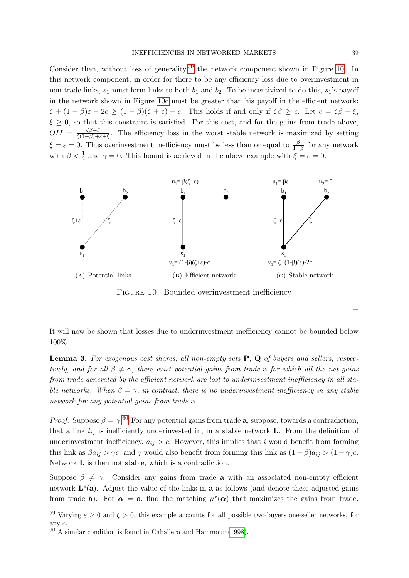Consider then, without loss of generality,<sup>[59](#page-38-0)</sup> the network component shown in Figure [10.](#page-38-1) In this network component, in order for there to be any efficiency loss due to overinvestment in non-trade links,  $s_1$  must form links to both  $b_1$  and  $b_2$ . To be incentivized to do this,  $s_1$ 's payoff in the network shown in Figure [10c](#page-38-2) must be greater than his payoff in the efficient network:  $\zeta + (1 - \beta)\varepsilon - 2c \ge (1 - \beta)(\zeta + \varepsilon) - c$ . This holds if and only if  $\zeta \beta \ge c$ . Let  $c = \zeta \beta - \xi$ ,  $\xi \geq 0$ , so that this constraint is satisfied. For this cost, and for the gains from trade above,  $OII = \frac{\zeta \beta - \xi}{\zeta (1 - \beta) + \xi}$  $\frac{\zeta\beta-\zeta}{\zeta(1-\beta)+\varepsilon+\zeta}$ . The efficiency loss in the worst stable network is maximized by setting  $\xi = \varepsilon = 0$ . Thus overinvestment inefficiency must be less than or equal to  $\frac{\beta}{1-\beta}$  for any network with  $\beta < \frac{1}{2}$  and  $\gamma = 0$ . This bound is achieved in the above example with  $\xi = \varepsilon = 0$ .

<span id="page-38-1"></span>

FIGURE 10. Bounded overinvestment inefficiency

<span id="page-38-2"></span> $\Box$ 

It will now be shown that losses due to underinvestment inefficiency cannot be bounded below 100%.

**Lemma 3.** For exogenous cost shares, all non-empty sets  $P$ ,  $Q$  of buyers and sellers, respectively, and for all  $\beta \neq \gamma$ , there exist potential gains from trade **a** for which all the net gains from trade generated by the efficient network are lost to underinvestment inefficiency in all stable networks. When  $\beta = \gamma$ , in contrast, there is no underinvestment inefficiency in any stable network for any potential gains from trade  $a$ .

*Proof.* Suppose  $\beta = \gamma^{0.60}$  $\beta = \gamma^{0.60}$  $\beta = \gamma^{0.60}$  For any potential gains from trade **a**, suppose, towards a contradiction, that a link  $l_{ij}$  is inefficiently underinvested in, in a stable network **L**. From the definition of underinvestment inefficiency,  $a_{ij} > c$ . However, this implies that i would benefit from forming this link as  $\beta a_{ij} > \gamma c$ , and j would also benefit from forming this link as  $(1 - \beta)a_{ij} > (1 - \gamma)c$ . Network L is then not stable, which is a contradiction.

Suppose  $\beta \neq \gamma$ . Consider any gains from trade **a** with an associated non-empty efficient network  $\mathbf{L}^e(\mathbf{a})$ . Adjust the value of the links in  $\mathbf{a}$  as follows (and denote these adjusted gains from trade  $\hat{\mathbf{a}}$ ). For  $\alpha = \mathbf{a}$ , find the matching  $\mu^*(\alpha)$  that maximizes the gains from trade.

<span id="page-38-0"></span> $\frac{59 \text{ Varying } \varepsilon \geq 0 \text{ and } \zeta > 0$ , this example accounts for all possible two-buyers one-seller networks, for any c.

<span id="page-38-3"></span> $60$  A similar condition is found in Caballero and Hammour [\(1998\)](#page-41-19).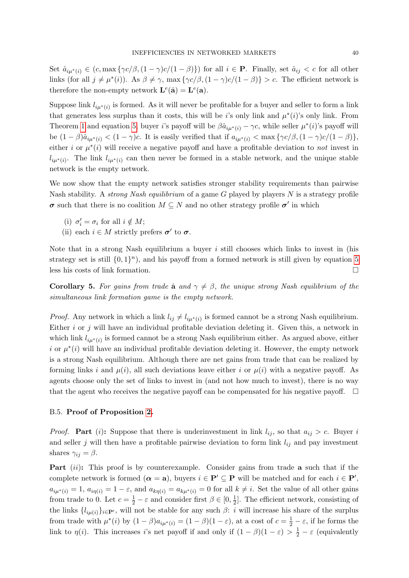Set  $\hat{a}_{i\mu^*(i)} \in (c, \max\{\gamma c/\beta, (1-\gamma)c/(1-\beta)\})$  for all  $i \in \mathbf{P}$ . Finally, set  $\hat{a}_{ij} < c$  for all other links (for all  $j \neq \mu^*(i)$ ). As  $\beta \neq \gamma$ , max  $\{\gamma c/\beta, (1 - \gamma)c/(1 - \beta)\} > c$ . The efficient network is therefore the non-empty network  $\mathbf{L}^e(\hat{\mathbf{a}}) = \mathbf{L}^e(\mathbf{a})$ .

Suppose link  $l_{i\mu^*(i)}$  is formed. As it will never be profitable for a buyer and seller to form a link that generates less surplus than it costs, this will be i's only link and  $\mu^*(i)$ 's only link. From Theorem [1](#page-12-0) and equation [5,](#page-12-2) buyer i's payoff will be  $\beta \hat{a}_{i\mu^*(i)} - \gamma c$ , while seller  $\mu^*(i)$ 's payoff will be  $(1 - \beta)\hat{a}_{i\mu^*(i)} < (1 - \gamma)c$ . It is easily verified that if  $a_{i\mu^*(i)} < \max{\{\gamma c/\beta, (1 - \gamma)c/(1 - \beta)\}}$ , either *i* or  $\mu^*(i)$  will receive a negative payoff and have a profitable deviation to not invest in  $l_{i\mu^*(i)}$ . The link  $l_{i\mu^*(i)}$  can then never be formed in a stable network, and the unique stable network is the empty network.

We now show that the empty network satisfies stronger stability requirements than pairwise Nash stability. A *strong Nash equilibrium* of a game G played by players N is a strategy profile  $σ$  such that there is no coalition  $M ⊆ N$  and no other strategy profile  $σ'$  in which

- (i)  $\sigma'_i = \sigma_i$  for all  $i \notin M$ ;
- (ii) each  $i \in M$  strictly prefers  $\sigma'$  to  $\sigma$ .

Note that in a strong Nash equilibrium a buyer  $i$  still chooses which links to invest in (his strategy set is still  $\{0,1\}^n$ , and his payoff from a formed network is still given by equation [5](#page-12-2) less his costs of link formation.

<span id="page-39-0"></span>**Corollary 5.** For gains from trade  $\hat{\mathbf{a}}$  and  $\gamma \neq \beta$ , the unique strong Nash equilibrium of the simultaneous link formation game is the empty network.

*Proof.* Any network in which a link  $l_{ij} \neq l_{i\mu^*(i)}$  is formed cannot be a strong Nash equilibrium. Either  $i$  or  $j$  will have an individual profitable deviation deleting it. Given this, a network in which link  $l_{i\mu^*(i)}$  is formed cannot be a strong Nash equilibrium either. As argued above, either i or  $\mu^*(i)$  will have an individual profitable deviation deleting it. However, the empty network is a strong Nash equilibrium. Although there are net gains from trade that can be realized by forming links i and  $\mu(i)$ , all such deviations leave either i or  $\mu(i)$  with a negative payoff. As agents choose only the set of links to invest in (and not how much to invest), there is no way that the agent who receives the negative payoff can be compensated for his negative payoff.  $\Box$ 

#### B.5. Proof of Proposition [2.](#page-21-4)

*Proof.* Part (i): Suppose that there is underinvestment in link  $l_{ij}$ , so that  $a_{ij} > c$ . Buyer i and seller j will then have a profitable pairwise deviation to form link  $l_{ij}$  and pay investment shares  $\gamma_{ij} = \beta$ .

**Part** (ii): This proof is by counterexample. Consider gains from trade **a** such that if the complete network is formed  $(\alpha = \mathbf{a})$ , buyers  $i \in \mathbf{P}' \subseteq \mathbf{P}$  will be matched and for each  $i \in \mathbf{P}'$ ,  $a_{i\mu^*(i)} = 1$ ,  $a_{i\eta(i)} = 1 - \varepsilon$ , and  $a_{k\eta(i)} = a_{k\mu^*(i)} = 0$  for all  $k \neq i$ . Set the value of all other gains from trade to 0. Let  $c = \frac{1}{2} - \varepsilon$  and consider first  $\beta \in [0, \frac{1}{2}]$  $\frac{1}{2}$ . The efficient network, consisting of the links  $\{l_{i\mu(i)}\}_{i\in\mathbf{P}'}$ , will not be stable for any such  $\beta$ : i will increase his share of the surplus from trade with  $\mu^*(i)$  by  $(1-\beta)a_{i\mu^*(i)} = (1-\beta)(1-\varepsilon)$ , at a cost of  $c = \frac{1}{2} - \varepsilon$ , if he forms the link to  $\eta(i)$ . This increases i's net payoff if and only if  $(1 - \beta)(1 - \varepsilon) > \frac{1}{2} - \varepsilon$  (equivalently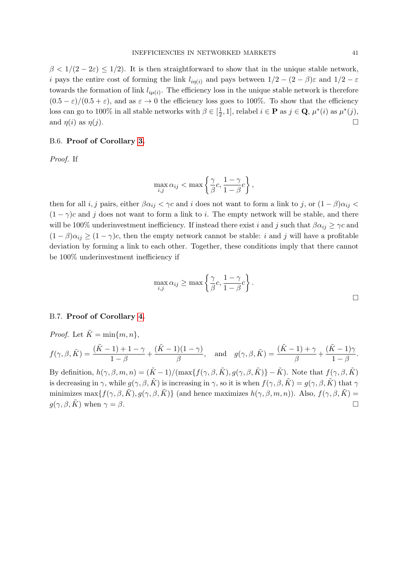$\beta < 1/(2 - 2\varepsilon) \leq 1/2$ ). It is then straightforward to show that in the unique stable network, i pays the entire cost of forming the link  $l_{i\eta(i)}$  and pays between  $1/2 - (2 - \beta)\varepsilon$  and  $1/2 - \varepsilon$ towards the formation of link  $l_{i\mu(i)}$ . The efficiency loss in the unique stable network is therefore  $(0.5 - \varepsilon)/(0.5 + \varepsilon)$ , and as  $\varepsilon \to 0$  the efficiency loss goes to 100%. To show that the efficiency loss can go to 100% in all stable networks with  $\beta \in \left[\frac{1}{2}\right]$  $\frac{1}{2}$ , 1], relabel  $i \in \mathbf{P}$  as  $j \in \mathbf{Q}$ ,  $\mu^*(i)$  as  $\mu^*(j)$ , and  $\eta(i)$  as  $\eta(j)$ .

## B.6. Proof of Corollary [3.](#page-24-0)

Proof. If

$$
\max_{i,j} \alpha_{ij} < \max\left\{\frac{\gamma}{\beta}c, \frac{1-\gamma}{1-\beta}c\right\},\,
$$

then for all i, j pairs, either  $\beta \alpha_{ij} < \gamma c$  and i does not want to form a link to j, or  $(1 - \beta) \alpha_{ij} <$  $(1 - \gamma)c$  and j does not want to form a link to i. The empty network will be stable, and there will be 100% underinvestment inefficiency. If instead there exist i and j such that  $\beta \alpha_{ij} \geq \gamma c$  and  $(1 - \beta)\alpha_{ij} \ge (1 - \gamma)c$ , then the empty network cannot be stable: *i* and *j* will have a profitable deviation by forming a link to each other. Together, these conditions imply that there cannot be 100% underinvestment inefficiency if

$$
\max_{i,j} \alpha_{ij} \ge \max \left\{ \frac{\gamma}{\beta} c, \frac{1-\gamma}{1-\beta} c \right\}.
$$

### B.7. Proof of Corollary [4.](#page-25-1)

*Proof.* Let 
$$
\tilde{K} = \min\{m, n\}
$$
,  
\n
$$
f(\gamma, \beta, \tilde{K}) = \frac{(\tilde{K} - 1) + 1 - \gamma}{1 - \beta} + \frac{(\tilde{K} - 1)(1 - \gamma)}{\beta}, \text{ and } g(\gamma, \beta, \tilde{K}) = \frac{(\tilde{K} - 1) + \gamma}{\beta} + \frac{(\tilde{K} - 1)\gamma}{1 - \beta}.
$$

By definition,  $h(\gamma, \beta, m, n) = (\tilde{K} - 1)/(\max\{f(\gamma, \beta, \tilde{K}), g(\gamma, \beta, \tilde{K})\} - \tilde{K})$ . Note that  $f(\gamma, \beta, \tilde{K})$ is decreasing in  $\gamma$ , while  $g(\gamma, \beta, \tilde{K})$  is increasing in  $\gamma$ , so it is when  $f(\gamma, \beta, \tilde{K}) = g(\gamma, \beta, \tilde{K})$  that  $\gamma$ minimizes  $\max\{f(\gamma,\beta,\tilde{K}), g(\gamma,\beta,\tilde{K})\}$  (and hence maximizes  $h(\gamma,\beta,m,n)$ ). Also,  $f(\gamma,\beta,\tilde{K}) =$  $q(\gamma, \beta, \tilde{K})$  when  $\gamma = \beta$ .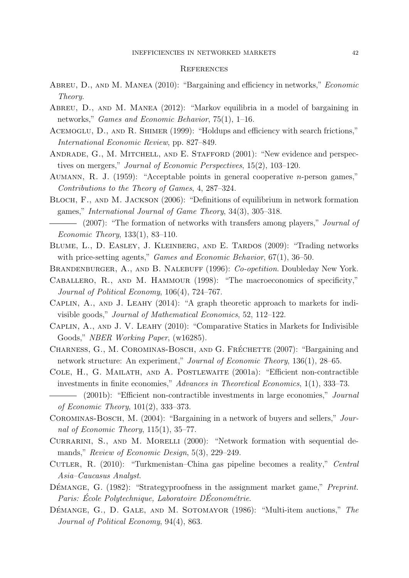#### **REFERENCES**

- <span id="page-41-3"></span>ABREU, D., AND M. MANEA (2010): "Bargaining and efficiency in networks," *Economic* Theory.
- <span id="page-41-2"></span>Abreu, D., and M. Manea (2012): "Markov equilibria in a model of bargaining in networks," Games and Economic Behavior, 75(1), 1–16.
- <span id="page-41-14"></span>ACEMOGLU, D., AND R. SHIMER (1999): "Holdups and efficiency with search frictions," International Economic Review, pp. 827–849.
- <span id="page-41-15"></span>ANDRADE, G., M. MITCHELL, AND E. STAFFORD (2001): "New evidence and perspectives on mergers," Journal of Economic Perspectives, 15(2), 103–120.
- <span id="page-41-12"></span>Aumann, R. J. (1959): "Acceptable points in general cooperative n-person games," Contributions to the Theory of Games, 4, 287–324.
- <span id="page-41-13"></span>Bloch, F., and M. Jackson (2006): "Definitions of equilibrium in network formation games," International Journal of Game Theory, 34(3), 305–318.
- <span id="page-41-18"></span>- (2007): "The formation of networks with transfers among players," *Journal of* Economic Theory, 133(1), 83–110.
- <span id="page-41-1"></span>BLUME, L., D. EASLEY, J. KLEINBERG, AND E. TARDOS (2009): "Trading networks with price-setting agents," *Games and Economic Behavior*, 67(1), 36–50.
- <span id="page-41-19"></span><span id="page-41-16"></span>BRANDENBURGER, A., AND B. NALEBUFF (1996): Co-opetition. Doubleday New York.
- Caballero, R., and M. Hammour (1998): "The macroeconomics of specificity," Journal of Political Economy, 106(4), 724–767.
- <span id="page-41-9"></span>CAPLIN, A., AND J. LEAHY (2014): "A graph theoretic approach to markets for indivisible goods," Journal of Mathematical Economics, 52, 112–122.
- <span id="page-41-10"></span>Caplin, A., and J. V. Leahy (2010): "Comparative Statics in Markets for Indivisible Goods," NBER Working Paper, (w16285).
- <span id="page-41-4"></span>CHARNESS, G., M. COROMINAS-BOSCH, AND G. FRÉCHETTE  $(2007)$ : "Bargaining and network structure: An experiment," Journal of Economic Theory, 136(1), 28–65.
- <span id="page-41-5"></span>Cole, H., G. Mailath, and A. Postlewaite (2001a): "Efficient non-contractible investments in finite economies," Advances in Theoretical Economics, 1(1), 333–73.
- <span id="page-41-6"></span>(2001b): "Efficient non-contractible investments in large economies," Journal of Economic Theory, 101(2), 333–373.
- <span id="page-41-0"></span>Corominas-Bosch, M. (2004): "Bargaining in a network of buyers and sellers," Journal of Economic Theory,  $115(1)$ ,  $35-77$ .
- <span id="page-41-7"></span>CURRARINI, S., AND M. MORELLI (2000): "Network formation with sequential demands," Review of Economic Design, 5(3), 229–249.
- <span id="page-41-17"></span>Cutler, R. (2010): "Turkmenistan–China gas pipeline becomes a reality," Central Asia–Caucasus Analyst.
- <span id="page-41-11"></span>DÉMANGE, G. (1982): "Strategyproofness in the assignment market game," Preprint. Paris: École Polytechnique, Laboratoire DÉconométrie.
- <span id="page-41-8"></span>DÉMANGE, G., D. GALE, AND M. SOTOMAYOR  $(1986)$ : "Multi-item auctions," The Journal of Political Economy, 94(4), 863.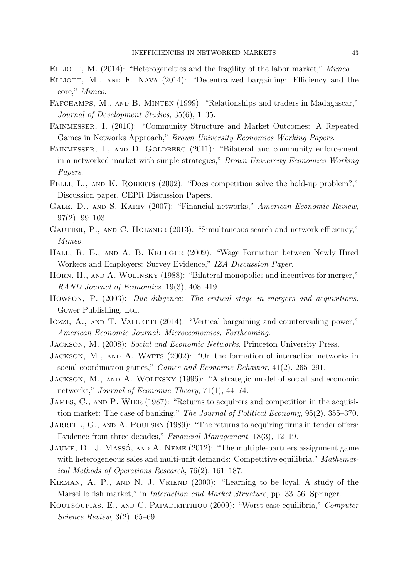- <span id="page-42-12"></span><span id="page-42-3"></span>ELLIOTT, M. (2014): "Heterogeneities and the fragility of the labor market," *Mimeo.*
- ELLIOTT, M., AND F. NAVA (2014): "Decentralized bargaining: Efficiency and the core," Mimeo.
- <span id="page-42-16"></span>FAFCHAMPS, M., AND B. MINTEN (1999): "Relationships and traders in Madagascar," Journal of Development Studies, 35(6), 1–35.
- <span id="page-42-0"></span>Fainmesser, I. (2010): "Community Structure and Market Outcomes: A Repeated Games in Networks Approach," Brown University Economics Working Papers.
- <span id="page-42-1"></span>FAINMESSER, I., AND D. GOLDBERG (2011): "Bilateral and community enforcement in a networked market with simple strategies," Brown University Economics Working Papers.
- <span id="page-42-6"></span>FELLI, L., AND K. ROBERTS (2002): "Does competition solve the hold-up problem?," Discussion paper, CEPR Discussion Papers.
- <span id="page-42-2"></span>GALE, D., AND S. KARIV (2007): "Financial networks," American Economic Review, 97(2), 99–103.
- <span id="page-42-11"></span>GAUTIER, P., AND C. HOLZNER (2013): "Simultaneous search and network efficiency," Mimeo.
- <span id="page-42-10"></span>HALL, R. E., AND A. B. KRUEGER (2009): "Wage Formation between Newly Hired Workers and Employers: Survey Evidence," IZA Discussion Paper.
- <span id="page-42-4"></span>HORN, H., AND A. WOLINSKY (1988): "Bilateral monopolies and incentives for merger," RAND Journal of Economics, 19(3), 408–419.
- <span id="page-42-13"></span>Howson, P. (2003): Due diligence: The critical stage in mergers and acquisitions. Gower Publishing, Ltd.
- <span id="page-42-5"></span>IOZZI, A., AND T. VALLETTI (2014): "Vertical bargaining and countervailing power," American Economic Journal: Microeconomics, Forthcoming.
- <span id="page-42-9"></span>Jackson, M. (2008): Social and Economic Networks. Princeton University Press.
- JACKSON, M., AND A. WATTS (2002): "On the formation of interaction networks in social coordination games," Games and Economic Behavior, 41(2), 265–291.
- <span id="page-42-8"></span>Jackson, M., and A. Wolinsky (1996): "A strategic model of social and economic networks," Journal of Economic Theory, 71(1), 44–74.
- <span id="page-42-15"></span>James, C., and P. Wier (1987): "Returns to acquirers and competition in the acquisition market: The case of banking," The Journal of Political Economy, 95(2), 355–370.
- <span id="page-42-14"></span>JARRELL, G., AND A. POULSEN (1989): "The returns to acquiring firms in tender offers: Evidence from three decades," Financial Management, 18(3), 12–19.
- <span id="page-42-18"></span>JAUME, D., J. MASSÓ, AND A. NEME (2012): "The multiple-partners assignment game with heterogeneous sales and multi-unit demands: Competitive equilibria," Mathematical Methods of Operations Research, 76(2), 161–187.
- <span id="page-42-17"></span>KIRMAN, A. P., AND N. J. VRIEND (2000): "Learning to be loyal. A study of the Marseille fish market," in Interaction and Market Structure, pp. 33–56. Springer.
- <span id="page-42-7"></span>KOUTSOUPIAS, E., AND C. PAPADIMITRIOU (2009): "Worst-case equilibria," Computer Science Review, 3(2), 65–69.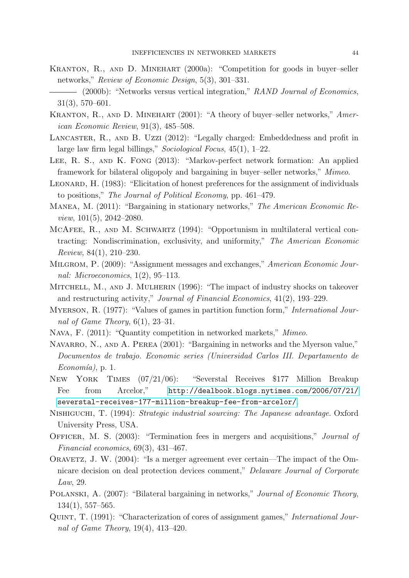- <span id="page-43-7"></span><span id="page-43-1"></span>Kranton, R., and D. Minehart (2000a): "Competition for goods in buyer–seller networks," Review of Economic Design, 5(3), 301–331.
	- (2000b): "Networks versus vertical integration," RAND Journal of Economics, 31(3), 570–601.
- <span id="page-43-6"></span>Kranton, R., and D. Minehart (2001): "A theory of buyer–seller networks," American Economic Review, 91(3), 485–508.
- <span id="page-43-17"></span>Lancaster, R., and B. Uzzi (2012): "Legally charged: Embeddedness and profit in large law firm legal billings," Sociological Focus, 45(1), 1–22.
- <span id="page-43-8"></span>LEE, R. S., AND K. FONG (2013): "Markov-perfect network formation: An applied framework for bilateral oligopoly and bargaining in buyer–seller networks," Mimeo.
- <span id="page-43-10"></span>LEONARD, H. (1983): "Elicitation of honest preferences for the assignment of individuals to positions," The Journal of Political Economy, pp. 461–479.
- <span id="page-43-5"></span>Manea, M. (2011): "Bargaining in stationary networks," The American Economic Review, 101(5), 2042–2080.
- <span id="page-43-15"></span>MCAFEE, R., AND M. SCHWARTZ (1994): "Opportunism in multilateral vertical contracting: Nondiscrimination, exclusivity, and uniformity," The American Economic Review, 84(1), 210–230.
- <span id="page-43-18"></span>Milgrom, P. (2009): "Assignment messages and exchanges," American Economic Journal: Microeconomics, 1(2), 95–113.
- <span id="page-43-12"></span>MITCHELL, M., AND J. MULHERIN (1996): "The impact of industry shocks on takeover and restructuring activity," Journal of Financial Economics, 41(2), 193–229.
- <span id="page-43-9"></span>Myerson, R. (1977): "Values of games in partition function form," International Journal of Game Theory,  $6(1)$ , 23–31.
- <span id="page-43-2"></span>Nava, F. (2011): "Quantity competition in networked markets," Mimeo.
- <span id="page-43-3"></span>NAVARRO, N., AND A. PEREA (2001): "Bargaining in networks and the Myerson value," Documentos de trabajo. Economic series (Universidad Carlos III. Departamento de  $Econom(a)$ , p. 1.
- <span id="page-43-14"></span>New York Times (07/21/06): "Severstal Receives \$177 Million Breakup Fee from Arcelor," [http://dealbook.blogs.nytimes.com/2006/07/21/](http://dealbook.blogs.nytimes.com/2006/07/21/severstal-receives-177-million-breakup-fee-from-arcelor/) [severstal-receives-177-million-breakup-fee-from-arcelor/](http://dealbook.blogs.nytimes.com/2006/07/21/severstal-receives-177-million-breakup-fee-from-arcelor/).
- <span id="page-43-0"></span>Nishiguchi, T. (1994): Strategic industrial sourcing: The Japanese advantage. Oxford University Press, USA.
- <span id="page-43-13"></span>OFFICER, M. S. (2003): "Termination fees in mergers and acquisitions," *Journal of* Financial economics, 69(3), 431–467.
- <span id="page-43-16"></span>Oravetz, J. W. (2004): "Is a merger agreement ever certain—The impact of the Omnicare decision on deal protection devices comment," Delaware Journal of Corporate Law, 29.
- <span id="page-43-4"></span>Polanski, A. (2007): "Bilateral bargaining in networks," Journal of Economic Theory, 134(1), 557–565.
- <span id="page-43-11"></span>Quint, T. (1991): "Characterization of cores of assignment games," International Journal of Game Theory, 19(4), 413–420.